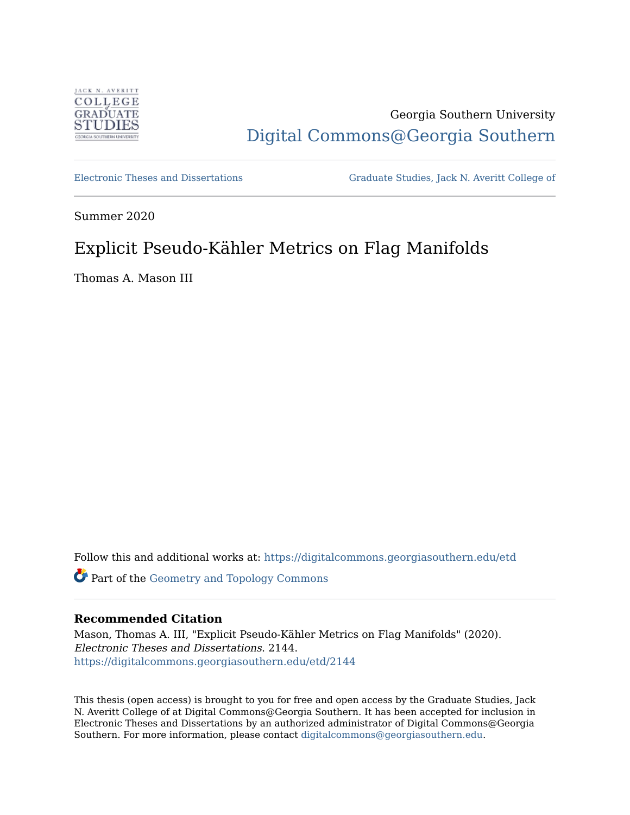

# Georgia Southern University [Digital Commons@Georgia Southern](https://digitalcommons.georgiasouthern.edu/)

[Electronic Theses and Dissertations](https://digitalcommons.georgiasouthern.edu/etd) [Graduate Studies, Jack N. Averitt College of](https://digitalcommons.georgiasouthern.edu/cogs) 

Summer 2020

# Explicit Pseudo-Kähler Metrics on Flag Manifolds

Thomas A. Mason III

Follow this and additional works at: [https://digitalcommons.georgiasouthern.edu/etd](https://digitalcommons.georgiasouthern.edu/etd?utm_source=digitalcommons.georgiasouthern.edu%2Fetd%2F2144&utm_medium=PDF&utm_campaign=PDFCoverPages) 

Part of the [Geometry and Topology Commons](http://network.bepress.com/hgg/discipline/180?utm_source=digitalcommons.georgiasouthern.edu%2Fetd%2F2144&utm_medium=PDF&utm_campaign=PDFCoverPages)

## **Recommended Citation**

Mason, Thomas A. III, "Explicit Pseudo-Kähler Metrics on Flag Manifolds" (2020). Electronic Theses and Dissertations. 2144. [https://digitalcommons.georgiasouthern.edu/etd/2144](https://digitalcommons.georgiasouthern.edu/etd/2144?utm_source=digitalcommons.georgiasouthern.edu%2Fetd%2F2144&utm_medium=PDF&utm_campaign=PDFCoverPages) 

This thesis (open access) is brought to you for free and open access by the Graduate Studies, Jack N. Averitt College of at Digital Commons@Georgia Southern. It has been accepted for inclusion in Electronic Theses and Dissertations by an authorized administrator of Digital Commons@Georgia Southern. For more information, please contact [digitalcommons@georgiasouthern.edu](mailto:digitalcommons@georgiasouthern.edu).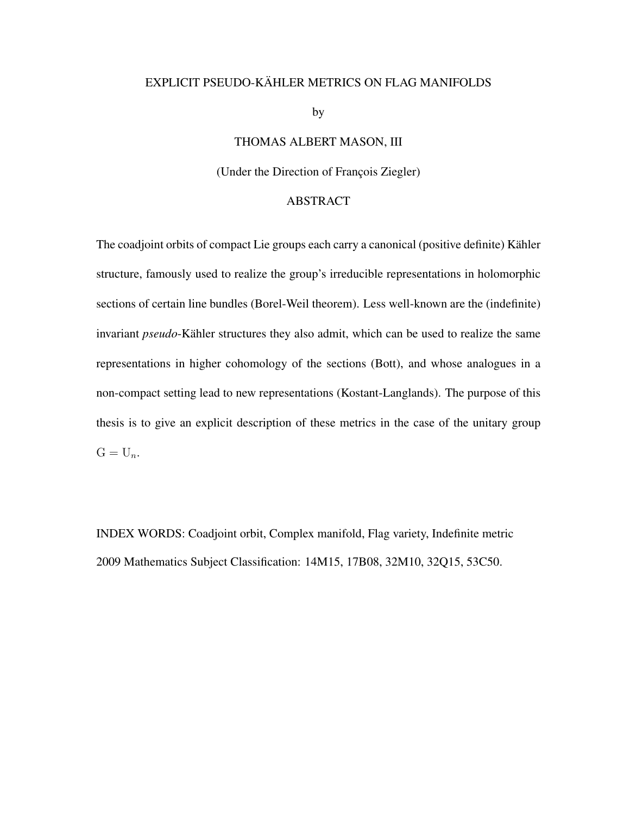## EXPLICIT PSEUDO-KÄHLER METRICS ON FLAG MANIFOLDS

by

## THOMAS ALBERT MASON, III

### (Under the Direction of François Ziegler)

#### ABSTRACT

The coadjoint orbits of compact Lie groups each carry a canonical (positive definite) Kähler structure, famously used to realize the group's irreducible representations in holomorphic sections of certain line bundles (Borel-Weil theorem). Less well-known are the (indefinite) invariant *pseudo*-Kähler structures they also admit, which can be used to realize the same representations in higher cohomology of the sections (Bott), and whose analogues in a non-compact setting lead to new representations (Kostant-Langlands). The purpose of this thesis is to give an explicit description of these metrics in the case of the unitary group  $G = U_n$ .

INDEX WORDS: Coadjoint orbit, Complex manifold, Flag variety, Indefinite metric 2009 Mathematics Subject Classification: 14M15, 17B08, 32M10, 32Q15, 53C50.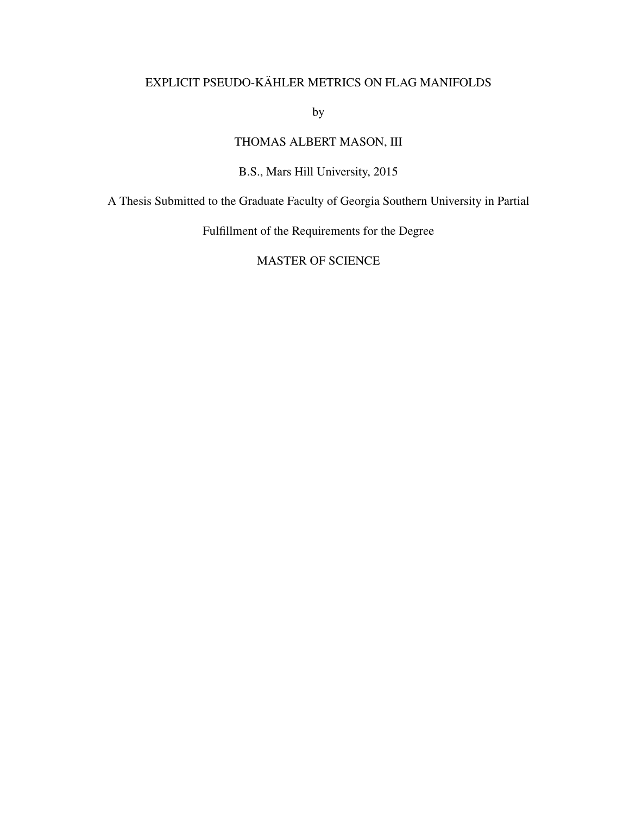## EXPLICIT PSEUDO-KÄHLER METRICS ON FLAG MANIFOLDS

by

## THOMAS ALBERT MASON, III

## B.S., Mars Hill University, 2015

A Thesis Submitted to the Graduate Faculty of Georgia Southern University in Partial

Fulfillment of the Requirements for the Degree

MASTER OF SCIENCE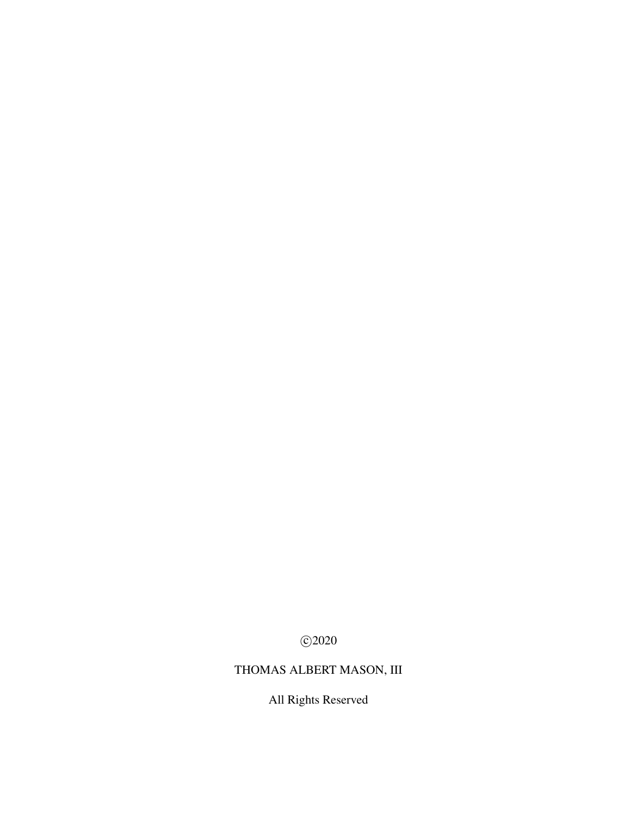c 2020

# THOMAS ALBERT MASON, III

All Rights Reserved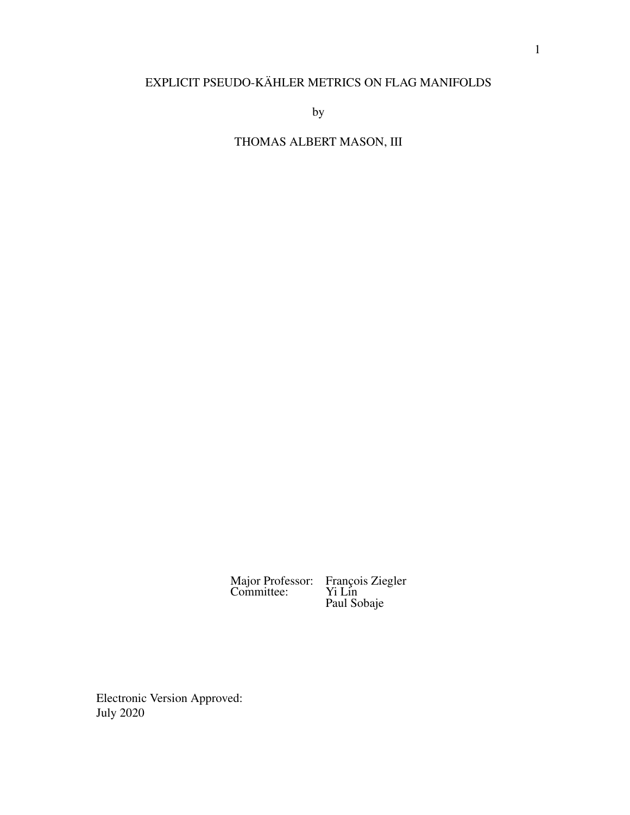## EXPLICIT PSEUDO-KÄHLER METRICS ON FLAG MANIFOLDS

by

THOMAS ALBERT MASON, III

Major Professor: François Ziegler Committee: Yi Lin François Ziegler<br>Yi Lin<br>Paul Sobaje

Electronic Version Approved: July 2020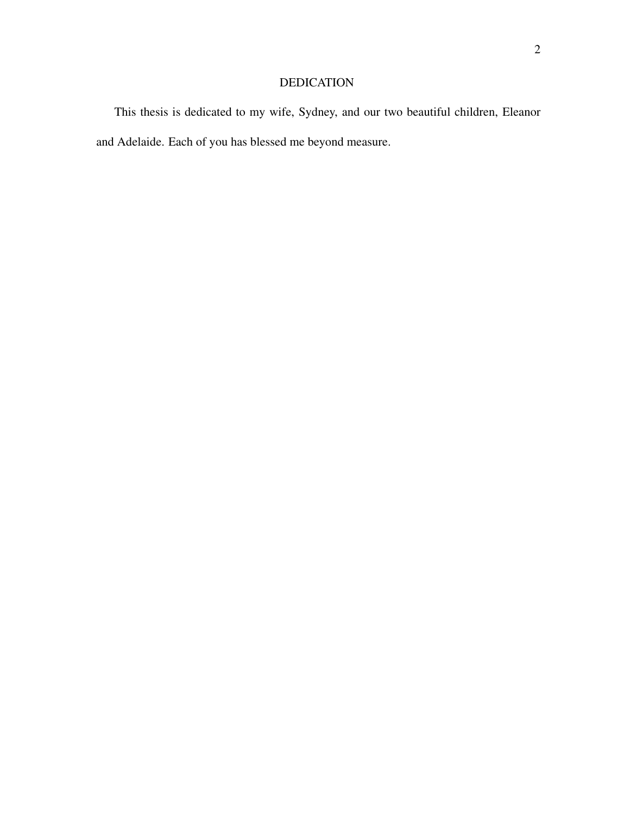## DEDICATION

This thesis is dedicated to my wife, Sydney, and our two beautiful children, Eleanor and Adelaide. Each of you has blessed me beyond measure.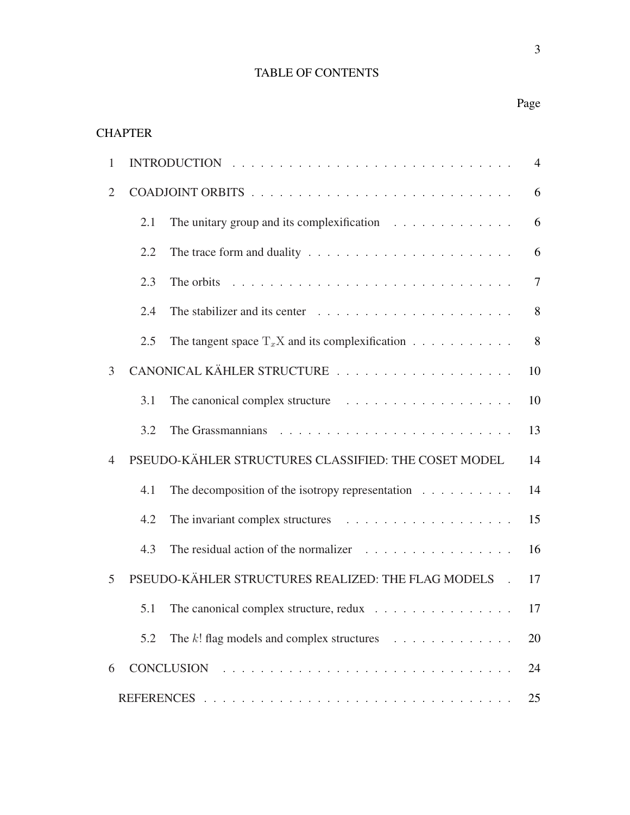## TABLE OF CONTENTS

## Page

## **CHAPTER**

| 1              | $\overline{4}$                                                             |                                                                                           |                |  |
|----------------|----------------------------------------------------------------------------|-------------------------------------------------------------------------------------------|----------------|--|
| $\overline{2}$ | 6                                                                          |                                                                                           |                |  |
|                | 2.1                                                                        | The unitary group and its complexification $\ldots \ldots \ldots \ldots$                  | 6              |  |
|                | 2.2                                                                        | The trace form and duality $\ldots \ldots \ldots \ldots \ldots \ldots \ldots \ldots$      | 6              |  |
|                | 2.3                                                                        | The orbits $\ldots \ldots \ldots \ldots \ldots \ldots \ldots \ldots \ldots \ldots \ldots$ | $\overline{7}$ |  |
|                | 2.4                                                                        | The stabilizer and its center $\ldots \ldots \ldots \ldots \ldots \ldots \ldots$          | 8              |  |
|                | 2.5                                                                        |                                                                                           | 8              |  |
| 3              | 10                                                                         |                                                                                           |                |  |
|                | 3.1                                                                        |                                                                                           | 10             |  |
|                | 3.2                                                                        |                                                                                           | 13             |  |
| $\overline{4}$ |                                                                            | PSEUDO-KÄHLER STRUCTURES CLASSIFIED: THE COSET MODEL                                      | 14             |  |
|                | 4.1                                                                        | The decomposition of the isotropy representation $\ldots \ldots \ldots$                   | 14             |  |
|                | 4.2                                                                        |                                                                                           | 15             |  |
|                | 4.3                                                                        |                                                                                           | 16             |  |
| 5              | PSEUDO-KÄHLER STRUCTURES REALIZED: THE FLAG MODELS<br>17<br>$\mathbb{R}^2$ |                                                                                           |                |  |
|                | 5.1                                                                        | The canonical complex structure, redux $\ldots \ldots \ldots \ldots \ldots \ldots$ 17     |                |  |
|                | 5.2                                                                        |                                                                                           | 20             |  |
| 6              |                                                                            | <b>CONCLUSION</b>                                                                         | 24             |  |
| 25             |                                                                            |                                                                                           |                |  |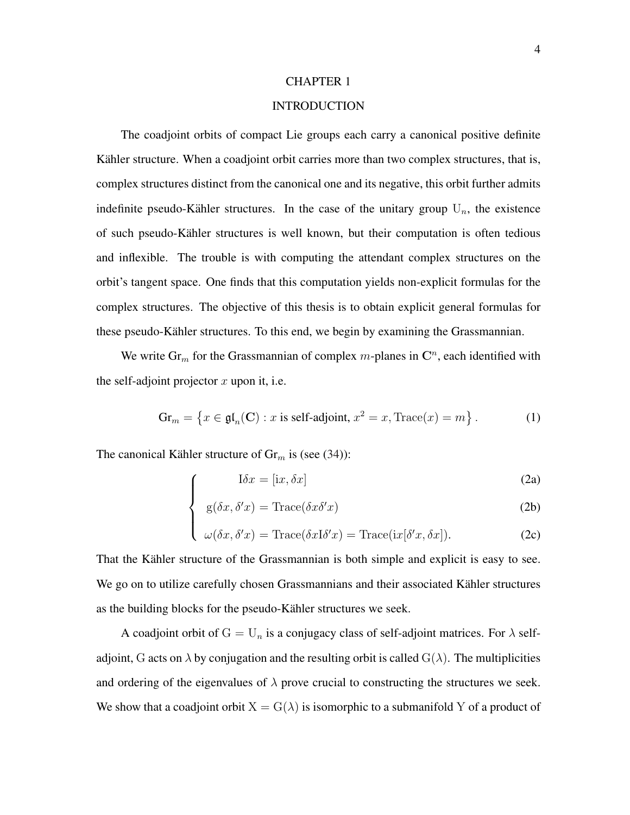#### INTRODUCTION

<span id="page-7-0"></span>The coadjoint orbits of compact Lie groups each carry a canonical positive definite Kähler structure. When a coadjoint orbit carries more than two complex structures, that is, complex structures distinct from the canonical one and its negative, this orbit further admits indefinite pseudo-Kähler structures. In the case of the unitary group  $U_n$ , the existence of such pseudo-Kahler structures is well known, but their computation is often tedious ¨ and inflexible. The trouble is with computing the attendant complex structures on the orbit's tangent space. One finds that this computation yields non-explicit formulas for the complex structures. The objective of this thesis is to obtain explicit general formulas for these pseudo-Kähler structures. To this end, we begin by examining the Grassmannian.

We write  $\text{Gr}_m$  for the Grassmannian of complex m-planes in  $\mathbb{C}^n$ , each identified with the self-adjoint projector  $x$  upon it, i.e.

$$
\operatorname{Gr}_m = \left\{ x \in \mathfrak{gl}_n(\mathbf{C}) : x \text{ is self-adjoint, } x^2 = x, \text{Trace}(x) = m \right\}. \tag{1}
$$

The canonical Kähler structure of  $Gr_m$  is (see [\(34\)](#page-16-1)):

 $\sqrt{ }$ 

$$
I\delta x = [ix, \delta x]
$$
 (2a)

$$
\begin{cases}\n\text{g}(\delta x, \delta' x) = \text{Trace}(\delta x \delta' x)\n\end{cases}
$$
\n(2b)

$$
\begin{cases} \omega(\delta x, \delta' x) = \text{Trace}(\delta x \text{I} \delta' x) = \text{Trace}(\text{i} x [\delta' x, \delta x]). \end{cases} (2c)
$$

That the Kähler structure of the Grassmannian is both simple and explicit is easy to see. We go on to utilize carefully chosen Grassmannians and their associated Kähler structures as the building blocks for the pseudo-Kähler structures we seek.

A coadjoint orbit of  $G = U_n$  is a conjugacy class of self-adjoint matrices. For  $\lambda$  selfadjoint, G acts on  $\lambda$  by conjugation and the resulting orbit is called  $G(\lambda)$ . The multiplicities and ordering of the eigenvalues of  $\lambda$  prove crucial to constructing the structures we seek. We show that a coadjoint orbit  $X = G(\lambda)$  is isomorphic to a submanifold Y of a product of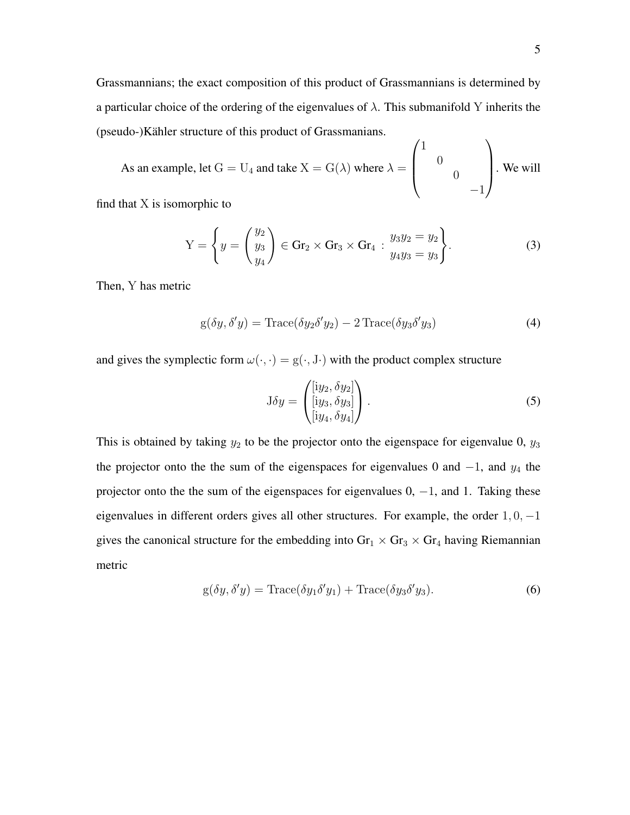Grassmannians; the exact composition of this product of Grassmannians is determined by a particular choice of the ordering of the eigenvalues of  $\lambda$ . This submanifold Y inherits the (pseudo-)Kähler structure of this product of Grassmanians.

As an example, let  $G = U_4$  and take  $X = G(\lambda)$  where  $\lambda =$  $\sqrt{ }$  $\overline{\phantom{a}}$ 1 0  $\overline{0}$ −1  $\setminus$ . We will

find that X is isomorphic to

$$
Y = \left\{ y = \begin{pmatrix} y_2 \\ y_3 \\ y_4 \end{pmatrix} \in \text{Gr}_2 \times \text{Gr}_3 \times \text{Gr}_4 : \begin{cases} y_3 y_2 = y_2 \\ y_4 y_3 = y_3 \end{cases} \right\}.
$$
 (3)

Then, Y has metric

$$
g(\delta y, \delta' y) = \text{Trace}(\delta y_2 \delta' y_2) - 2 \text{Trace}(\delta y_3 \delta' y_3)
$$
\n(4)

and gives the symplectic form  $\omega(\cdot, \cdot) = g(\cdot, J \cdot)$  with the product complex structure

$$
J\delta y = \begin{pmatrix} [iy_2, \delta y_2] \\ [iy_3, \delta y_3] \\ [iy_4, \delta y_4] \end{pmatrix} . \tag{5}
$$

This is obtained by taking  $y_2$  to be the projector onto the eigenspace for eigenvalue 0,  $y_3$ the projector onto the the sum of the eigenspaces for eigenvalues 0 and  $-1$ , and  $y_4$  the projector onto the the sum of the eigenspaces for eigenvalues  $0, -1$ , and 1. Taking these eigenvalues in different orders gives all other structures. For example, the order  $1, 0, -1$ gives the canonical structure for the embedding into  $\text{Gr}_1 \times \text{Gr}_3 \times \text{Gr}_4$  having Riemannian metric

$$
g(\delta y, \delta' y) = Trace(\delta y_1 \delta' y_1) + Trace(\delta y_3 \delta' y_3).
$$
\n(6)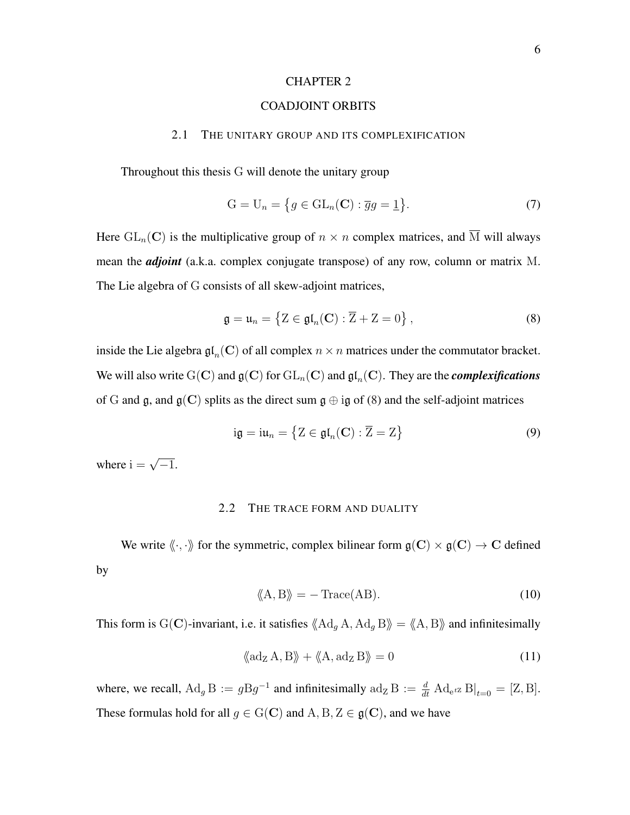### COADJOINT ORBITS

### <span id="page-9-0"></span>2.1 THE UNITARY GROUP AND ITS COMPLEXIFICATION

<span id="page-9-1"></span>Throughout this thesis G will denote the unitary group

$$
G = U_n = \{ g \in GL_n(\mathbf{C}) : \overline{g}g = \underline{1} \}.
$$
 (7)

Here  $GL_n(\mathbb{C})$  is the multiplicative group of  $n \times n$  complex matrices, and  $\overline{M}$  will always mean the *adjoint* (a.k.a. complex conjugate transpose) of any row, column or matrix M. The Lie algebra of G consists of all skew-adjoint matrices,

<span id="page-9-3"></span>
$$
\mathfrak{g} = \mathfrak{u}_n = \left\{ Z \in \mathfrak{gl}_n(\mathbf{C}) : \overline{Z} + Z = 0 \right\},\tag{8}
$$

inside the Lie algebra  $\mathfrak{gl}_n(\mathbf{C})$  of all complex  $n \times n$  matrices under the commutator bracket. We will also write  $\mathrm{G}(\mathbf{C})$  and  $\mathfrak{g}(\mathbf{C})$  for  $\mathrm{GL}_n(\mathbf{C})$  and  $\mathfrak{gl}_n(\mathbf{C})$ . They are the *complexifications* of G and g, and  $g(C)$  splits as the direct sum  $g \oplus ig$  of [\(8\)](#page-9-3) and the self-adjoint matrices

$$
ig = iu_n = \{ Z \in \mathfrak{gl}_n(\mathbf{C}) : \overline{Z} = Z \}
$$
\n(9)

<span id="page-9-2"></span>where  $i = \sqrt{-1}$ .

#### 2.2 THE TRACE FORM AND DUALITY

We write  $\langle \! \langle \cdot, \cdot \rangle \! \rangle$  for the symmetric, complex bilinear form  $\mathfrak{g}(C) \times \mathfrak{g}(C) \to C$  defined by

<span id="page-9-4"></span>
$$
\langle A, B \rangle = - \text{Trace}(AB). \tag{10}
$$

This form is G(C)-invariant, i.e. it satisfies  $\langle A \, d_g A, A \, d_g B \rangle = \langle A, B \rangle$  and infinitesimally

<span id="page-9-5"></span>
$$
\langle \langle \mathrm{ad}_{Z} A, B \rangle \rangle + \langle \langle A, \mathrm{ad}_{Z} B \rangle \rangle = 0 \tag{11}
$$

where, we recall,  $\text{Ad}_g \text{B} := g \text{B} g^{-1}$  and infinitesimally  $\text{ad}_\text{Z} \text{B} := \frac{d}{dt} \text{Ad}_{e^{t\text{Z}}} \text{B}|_{t=0} = [\text{Z}, \text{B}].$ These formulas hold for all  $g \in G(C)$  and  $A, B, Z \in g(C)$ , and we have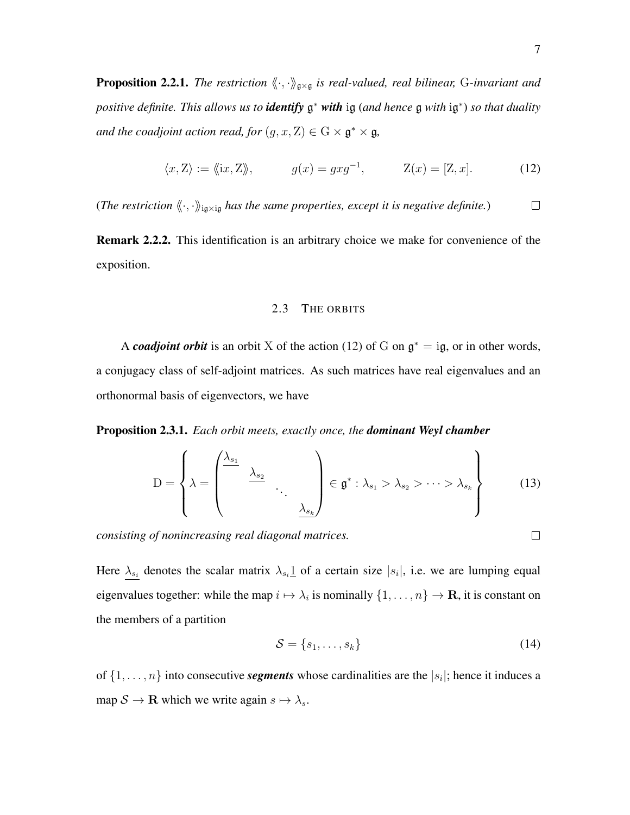<span id="page-10-3"></span>**Proposition 2.2.1.** *The restriction*  $\langle \cdot, \cdot \rangle_{\mathfrak{g} \times \mathfrak{g}}$  *is real-valued, real bilinear,* G-invariant and *positive definite. This allows us to identify* g <sup>∗</sup> *with* ig (*and hence* g *with* ig ∗ ) *so that duality and the coadjoint action read, for*  $(g, x, Z) \in G \times \mathfrak{g}^* \times \mathfrak{g}$ ,

<span id="page-10-1"></span>
$$
\langle x, Z \rangle := \langle \langle ix, Z \rangle \rangle, \qquad g(x) = gxg^{-1}, \qquad Z(x) = [Z, x]. \tag{12}
$$

(*The restriction*  $\langle \langle \cdot, \cdot \rangle \rangle_{iq \times iq}$  *has the same properties, except it is negative definite.*)  $\Box$ 

Remark 2.2.2. This identification is an arbitrary choice we make for convenience of the exposition.

### 2.3 THE ORBITS

<span id="page-10-0"></span>A *coadjoint orbit* is an orbit X of the action [\(12\)](#page-10-1) of G on  $\mathfrak{g}^* = i\mathfrak{g}$ , or in other words, a conjugacy class of self-adjoint matrices. As such matrices have real eigenvalues and an orthonormal basis of eigenvectors, we have

Proposition 2.3.1. *Each orbit meets, exactly once, the dominant Weyl chamber*

<span id="page-10-2"></span>
$$
D = \left\{ \lambda = \begin{pmatrix} \lambda_{s_1} & & & \\ & \lambda_{s_2} & & \\ & & \ddots & \\ & & & \lambda_{s_k} \end{pmatrix} \in \mathfrak{g}^* : \lambda_{s_1} > \lambda_{s_2} > \cdots > \lambda_{s_k} \right\}
$$
(13)

*consisting of nonincreasing real diagonal matrices.*

Here  $\lambda_{s_i}$  denotes the scalar matrix  $\lambda_{s_i}$  of a certain size  $|s_i|$ , i.e. we are lumping equal eigenvalues together: while the map  $i \mapsto \lambda_i$  is nominally  $\{1, \ldots, n\} \to \mathbf{R}$ , it is constant on the members of a partition

<span id="page-10-4"></span>
$$
\mathcal{S} = \{s_1, \dots, s_k\} \tag{14}
$$

of  $\{1, \ldots, n\}$  into consecutive *segments* whose cardinalities are the  $|s_i|$ ; hence it induces a map  $S \to \mathbf{R}$  which we write again  $s \mapsto \lambda_s$ .

 $\Box$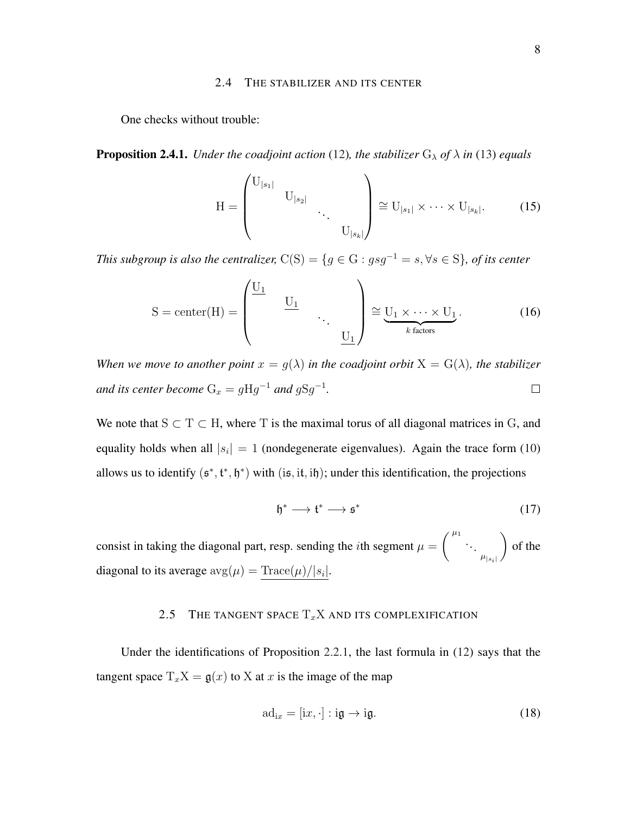#### 2.4 THE STABILIZER AND ITS CENTER

<span id="page-11-0"></span>One checks without trouble:

**Proposition 2.4.1.** *Under the coadjoint action* [\(12\)](#page-10-1), *the stabilizer*  $G_{\lambda}$  *of*  $\lambda$  *in* [\(13\)](#page-10-2) *equals* 

<span id="page-11-3"></span>
$$
H = \begin{pmatrix} U_{|s_1|} & & & \\ & U_{|s_2|} & & \\ & & \ddots & \\ & & & U_{|s_k|} \end{pmatrix} \cong U_{|s_1|} \times \cdots \times U_{|s_k|}.
$$
 (15)

*This subgroup is also the centralizer,*  $C(S) = \{g \in G : gsg^{-1} = s, \forall s \in S\}$ *, of its center* 

$$
S = center(H) = \begin{pmatrix} \underline{U_1} & & & \\ & \underline{U_1} & & \\ & & \ddots & \\ & & & \underline{U_1} \end{pmatrix} \cong \underbrace{U_1 \times \cdots \times U_1}_{k \text{ factors}}.
$$
 (16)

*When we move to another point*  $x = g(\lambda)$  *in the coadjoint orbit*  $X = G(\lambda)$ *, the stabilizer* and its center become  $G_x = gHg^{-1}$  and  $gSg^{-1}$ .  $\Box$ 

We note that  $S \subset T \subset H$ , where T is the maximal torus of all diagonal matrices in G, and equality holds when all  $|s_i| = 1$  (nondegenerate eigenvalues). Again the trace form [\(10\)](#page-9-4) allows us to identify  $(\mathfrak{s}^*, \mathfrak{t}^*, \mathfrak{h}^*)$  with  $(i\mathfrak{s}, i\mathfrak{t}, i\mathfrak{h})$ ; under this identification, the projections

<span id="page-11-4"></span>
$$
\mathfrak{h}^* \longrightarrow \mathfrak{t}^* \longrightarrow \mathfrak{s}^* \tag{17}
$$

consist in taking the diagonal part, resp. sending the *i*th segment  $\mu =$  $\left( \begin{array}{ccc} \mu_1 & & \\ & \ddots & \end{array} \right)$  $\mu_{|s_i|}$  $\setminus$ of the diagonal to its average  $\mathrm{avg}(\mu) = \text{Trace}(\mu)/|s_i|.$ 

## 2.5 THE TANGENT SPACE  $T_xX$  and its complexification

<span id="page-11-1"></span>Under the identifications of Proposition [2.2.1,](#page-10-3) the last formula in [\(12\)](#page-10-1) says that the tangent space  $T_xX = g(x)$  to X at x is the image of the map

<span id="page-11-2"></span>
$$
ad_{ix} = [ix, \cdot] : ig \to ig.
$$
 (18)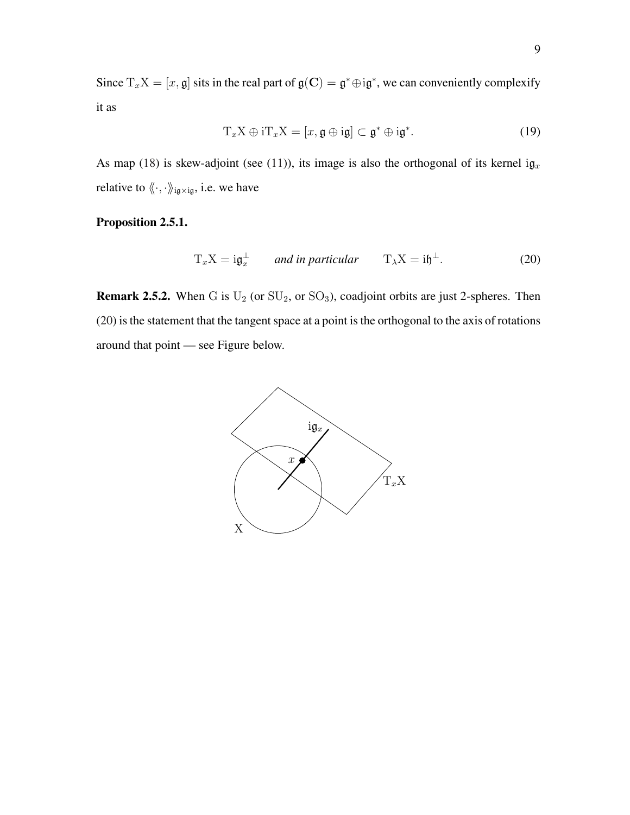Since  $T_xX = [x, \mathfrak{g}]$  sits in the real part of  $\mathfrak{g}(C) = \mathfrak{g}^* \oplus i\mathfrak{g}^*$ , we can conveniently complexify it as

<span id="page-12-1"></span>
$$
T_x X \oplus iT_x X = [x, \mathfrak{g} \oplus i\mathfrak{g}] \subset \mathfrak{g}^* \oplus i\mathfrak{g}^*.
$$
 (19)

As map [\(18\)](#page-11-2) is skew-adjoint (see [\(11\)](#page-9-5)), its image is also the orthogonal of its kernel i $\mathfrak{g}_x$ relative to  $\langle\!\langle \cdot,\cdot\rangle\!\rangle_{iq\times iq}$  i.e. we have

Proposition 2.5.1.

<span id="page-12-0"></span>
$$
T_x X = i \mathfrak{g}_x^{\perp} \qquad \text{and in particular} \qquad T_\lambda X = i \mathfrak{h}^{\perp}.
$$
 (20)

**Remark 2.5.2.** When G is  $U_2$  (or  $SU_2$ , or  $SO_3$ ), coadjoint orbits are just 2-spheres. Then [\(20\)](#page-12-0) is the statement that the tangent space at a point is the orthogonal to the axis of rotations around that point — see Figure below.

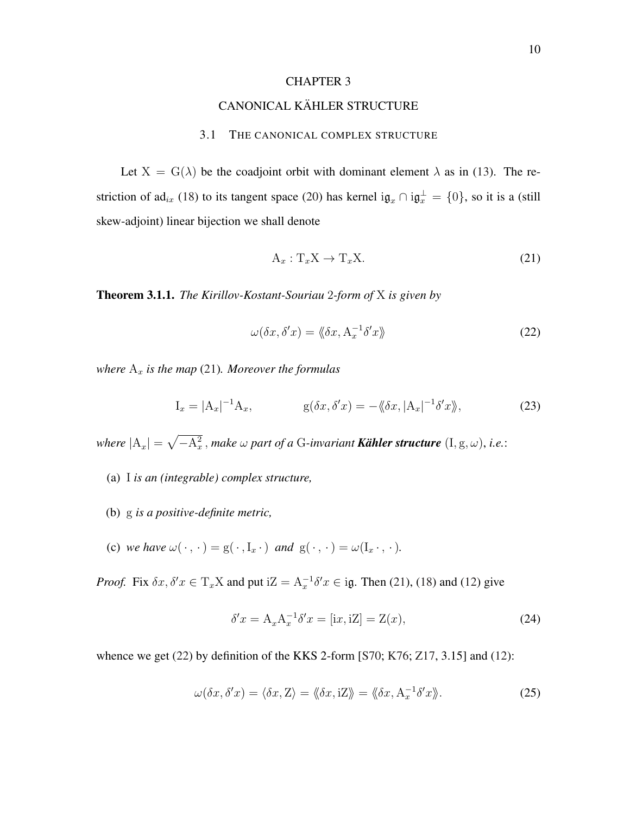## CANONICAL KÄHLER STRUCTURE

#### 3.1 THE CANONICAL COMPLEX STRUCTURE

<span id="page-13-5"></span><span id="page-13-1"></span><span id="page-13-0"></span>Let  $X = G(\lambda)$  be the coadjoint orbit with dominant element  $\lambda$  as in [\(13\)](#page-10-2). The re-striction of ad<sub>ix</sub> [\(18\)](#page-11-2) to its tangent space [\(20\)](#page-12-0) has kernel i $\mathfrak{g}_x \cap i\mathfrak{g}_x^{\perp} = \{0\}$ , so it is a (still skew-adjoint) linear bijection we shall denote

<span id="page-13-2"></span>
$$
A_x: T_x X \to T_x X. \tag{21}
$$

Theorem 3.1.1. *The Kirillov-Kostant-Souriau* 2*-form of* X *is given by*

<span id="page-13-3"></span>
$$
\omega(\delta x, \delta' x) = \langle \delta x, \mathbf{A}_x^{-1} \delta' x \rangle \tag{22}
$$

*where*  $A_x$  *is the map* [\(21\)](#page-13-2)*. Moreover the formulas* 

<span id="page-13-4"></span>
$$
I_x = |A_x|^{-1} A_x, \qquad g(\delta x, \delta' x) = -\langle \delta x, |A_x|^{-1} \delta' x \rangle,
$$
\n(23)

where  $|A_x| = \sqrt{-A_x^2}$  , make  $\omega$  part of a G-invariant **Kähler structure**  $(I, g, \omega)$ , i.e.:

- (a) I *is an (integrable) complex structure,*
- (b) g *is a positive-definite metric,*
- (c) we have  $\omega(\cdot, \cdot) = g(\cdot, I_x \cdot)$  and  $g(\cdot, \cdot) = \omega(I_x \cdot, \cdot)$ .

*Proof.* Fix  $\delta x$ ,  $\delta' x \in T_x X$  and put  $iZ = A_x^{-1} \delta' x \in i\mathfrak{g}$ . Then [\(21\)](#page-13-2), [\(18\)](#page-11-2) and [\(12\)](#page-10-1) give

$$
\delta'x = A_x A_x^{-1} \delta' x = [ix, iZ] = Z(x),\tag{24}
$$

whence we get [\(22\)](#page-13-3) by definition of the KKS 2-form [\[S70;](#page-30-0) [K76;](#page-29-0) [Z17,](#page-31-0) 3.15] and [\(12\)](#page-10-1):

$$
\omega(\delta x, \delta' x) = \langle \delta x, Z \rangle = \langle \delta x, iZ \rangle = \langle \delta x, A_x^{-1} \delta' x \rangle. \tag{25}
$$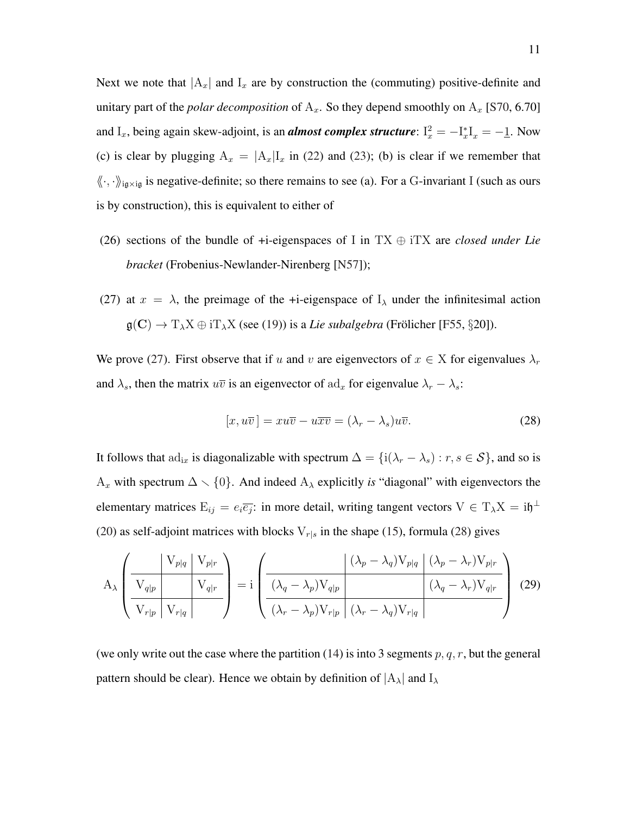<span id="page-14-3"></span>Next we note that  $|A_x|$  and  $I_x$  are by construction the (commuting) positive-definite and unitary part of the *polar decomposition* of  $A_x$ . So they depend smoothly on  $A_x$  [\[S70,](#page-30-0) 6.70] and I<sub>x</sub>, being again skew-adjoint, is an *almost complex structure*:  $I_x^2 = -I_x^* I_x = -I$ . Now (c) is clear by plugging  $A_x = |A_x| I_x$  in [\(22\)](#page-13-3) and [\(23\)](#page-13-4); (b) is clear if we remember that  $\langle\!\langle \cdot, \cdot \rangle\!\rangle_{iq \times iq}$  is negative-definite; so there remains to see (a). For a G-invariant I (such as ours is by construction), this is equivalent to either of

- (26) sections of the bundle of +i-eigenspaces of I in TX ⊕ iTX are *closed under Lie bracket* (Frobenius-Newlander-Nirenberg [\[N57\]](#page-29-1));
- (27) at  $x = \lambda$ , the preimage of the +i-eigenspace of  $I_{\lambda}$  under the infinitesimal action  $g(C) \to T_\lambda X \oplus iT_\lambda X$  (see [\(19\)](#page-12-1)) is a *Lie subalgebra* (Frölicher [[F55,](#page-29-2) §20]).

We prove [\(27\)](#page-14-0). First observe that if u and v are eigenvectors of  $x \in X$  for eigenvalues  $\lambda_r$ and  $\lambda_s$ , then the matrix  $u\overline{v}$  is an eigenvector of  $\mathrm{ad}_x$  for eigenvalue  $\lambda_r - \lambda_s$ :

<span id="page-14-1"></span><span id="page-14-0"></span>
$$
[x, u\overline{v}] = xu\overline{v} - u\overline{x}\overline{v} = (\lambda_r - \lambda_s)u\overline{v}.
$$
 (28)

It follows that  $ad_{ix}$  is diagonalizable with spectrum  $\Delta = \{i(\lambda_r - \lambda_s) : r, s \in S\}$ , and so is A<sub>x</sub> with spectrum  $\Delta \setminus \{0\}$ . And indeed A<sub> $\lambda$ </sub> explicitly *is* "diagonal" with eigenvectors the elementary matrices  $E_{ij} = e_i \overline{e_j}$ : in more detail, writing tangent vectors  $V \in T_\lambda X = i \mathfrak{h}^{\perp}$ [\(20\)](#page-12-0) as self-adjoint matrices with blocks  $V_{r|s}$  in the shape [\(15\)](#page-11-3), formula [\(28\)](#page-14-1) gives

<span id="page-14-2"></span>
$$
A_{\lambda} \left( \frac{V_{p|q} | V_{p|r}}{V_{r|p} | V_{r|q}} \right) = i \left( \frac{(\lambda_p - \lambda_q) V_{p|q} | (\lambda_p - \lambda_r) V_{p|r}}{(\lambda_q - \lambda_p) V_{q|p} | (\lambda_q - \lambda_r) V_{q|r}} \right) (29)
$$

(we only write out the case where the partition [\(14\)](#page-10-4) is into 3 segments  $p, q, r$ , but the general pattern should be clear). Hence we obtain by definition of  $|A_\lambda|$  and  $I_\lambda$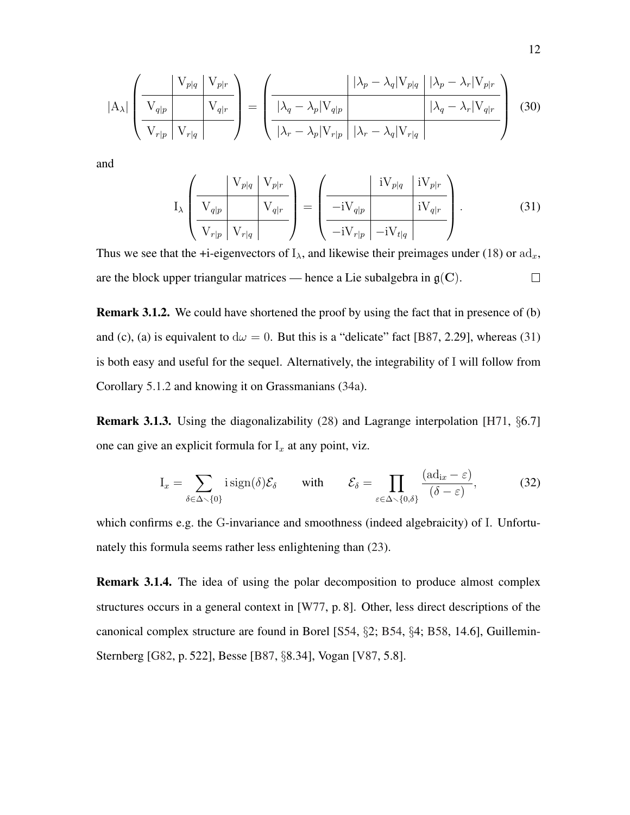<span id="page-15-2"></span>
$$
|\mathbf{A}_{\lambda}| \left( \frac{\mathbf{V}_{p|q} \mid \mathbf{V}_{p|r}}{\mathbf{V}_{q|p} \mid \mathbf{V}_{r|q}} \right) = \left( \frac{|\lambda_p - \lambda_q| \mathbf{V}_{p|q} \mid |\lambda_p - \lambda_r| \mathbf{V}_{p|r}}{|\lambda_q - \lambda_p| \mathbf{V}_{q|p} \mid |\lambda_q - \lambda_r| \mathbf{V}_{q|r}} \right) (30)
$$

and

<span id="page-15-0"></span>
$$
I_{\lambda} \left( \frac{V_{p|q} \quad V_{p|r}}{V_{q|p} \quad V_{r|q}} \right) = \left( \frac{iV_{p|q} \quad iV_{p|r}}{-iV_{q|p} \quad iV_{q|r}} \right). \tag{31}
$$

Thus we see that the +i-eigenvectors of  $I_{\lambda}$ , and likewise their preimages under [\(18\)](#page-11-2) or  $\text{ad}_x$ , are the block upper triangular matrices — hence a Lie subalgebra in  $g(C)$ .  $\Box$ 

Remark 3.1.2. We could have shortened the proof by using the fact that in presence of (b) and (c), (a) is equivalent to  $d\omega = 0$ . But this is a "delicate" fact [\[B87,](#page-28-1) 2.29], whereas [\(31\)](#page-15-0) is both easy and useful for the sequel. Alternatively, the integrability of I will follow from Corollary [5.1.2](#page-22-0) and knowing it on Grassmanians [\(34a\)](#page-16-2).

**Remark 3.1.3.** Using the diagonalizability [\(28\)](#page-14-1) and Lagrange interpolation [\[H71,](#page-29-3) §6.7] one can give an explicit formula for  $I_x$  at any point, viz.

<span id="page-15-1"></span>
$$
I_x = \sum_{\delta \in \Delta \smallsetminus \{0\}} i \operatorname{sign}(\delta) \mathcal{E}_{\delta} \quad \text{with} \quad \mathcal{E}_{\delta} = \prod_{\varepsilon \in \Delta \smallsetminus \{0,\delta\}} \frac{(\mathrm{ad}_{ix} - \varepsilon)}{(\delta - \varepsilon)}, \tag{32}
$$

which confirms e.g. the G-invariance and smoothness (indeed algebraicity) of I. Unfortunately this formula seems rather less enlightening than [\(23\)](#page-13-4).

Remark 3.1.4. The idea of using the polar decomposition to produce almost complex structures occurs in a general context in [\[W77,](#page-30-1) p. 8]. Other, less direct descriptions of the canonical complex structure are found in Borel [\[S54,](#page-30-2) §2; [B54,](#page-28-2) §4; [B58,](#page-28-3) 14.6], Guillemin-Sternberg [\[G82,](#page-29-4) p. 522], Besse [\[B87,](#page-28-1) §8.34], Vogan [\[V87,](#page-30-3) 5.8].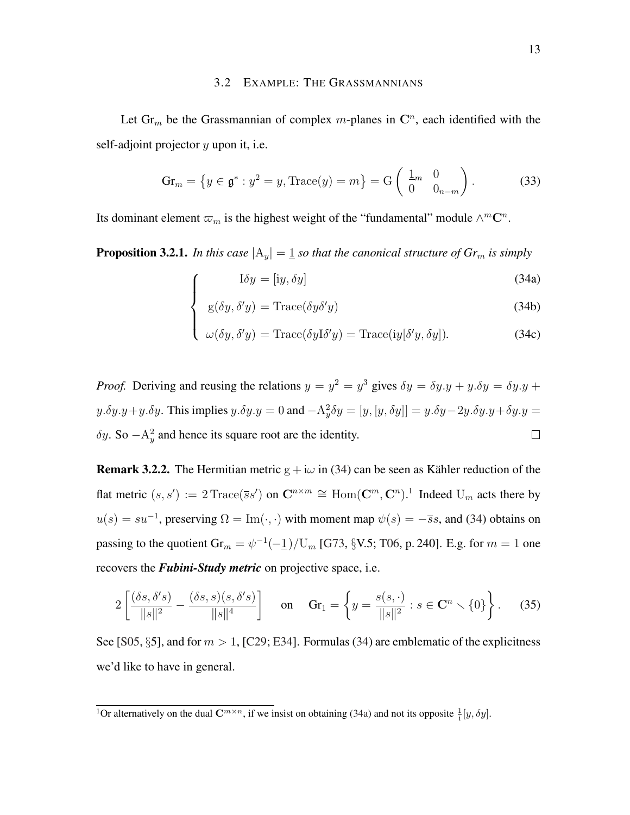#### 3.2 EXAMPLE: THE GRASSMANNIANS

<span id="page-16-6"></span><span id="page-16-0"></span>Let  $\text{Gr}_m$  be the Grassmannian of complex m-planes in  $\mathbb{C}^n$ , each identified with the self-adjoint projector  $y$  upon it, i.e.

<span id="page-16-4"></span>
$$
\operatorname{Gr}_m = \left\{ y \in \mathfrak{g}^* : y^2 = y, \operatorname{Trace}(y) = m \right\} = \operatorname{G}\left( \begin{array}{cc} \underline{1}_m & 0 \\ 0 & 0_{n-m} \end{array} \right). \tag{33}
$$

Its dominant element  $\varpi_m$  is the highest weight of the "fundamental" module  $\wedge^m \mathbb{C}^n$ .

 $\sqrt{ }$ 

<span id="page-16-2"></span><span id="page-16-1"></span>**Proposition 3.2.1.** In this case  $|A_y| = 1$  so that the canonical structure of  $Gr_m$  is simply

$$
I \delta y = [iy, \delta y]
$$
 (34a)

$$
\begin{cases}\n\text{g}(\delta y, \delta' y) = \text{Trace}(\delta y \delta' y)\n\end{cases} \tag{34b}
$$

$$
\begin{cases} \omega(\delta y, \delta' y) = \text{Trace}(\delta y \text{I} \delta' y) = \text{Trace}(i y [\delta' y, \delta y]). \end{cases} (34c)
$$

*Proof.* Deriving and reusing the relations  $y = y^2 = y^3$  gives  $\delta y = \delta y \cdot y + y \cdot \delta y = \delta y \cdot y + y \cdot \delta y$  $y.\delta y.y+y.\delta y$ . This implies  $y.\delta y.y=0$  and  $-A_y^2\delta y=[y,[y,\delta y]]=y.\delta y-2y.\delta y.y+\delta y.y=0$  $\delta y$ . So  $-A_y^2$  and hence its square root are the identity.  $\Box$ 

<span id="page-16-5"></span>**Remark 3.2.2.** The Hermitian metric  $g + i\omega$  in [\(34\)](#page-16-1) can be seen as Kähler reduction of the flat metric  $(s, s') := 2 \text{Trace}(\overline{s} s')$  on  $\mathbb{C}^{n \times m} \cong \text{Hom}(\mathbb{C}^m, \mathbb{C}^n)$ .<sup>[1](#page-16-3)</sup> Indeed  $U_m$  acts there by  $u(s) = su^{-1}$ , preserving  $\Omega = \text{Im}(\cdot, \cdot)$  with moment map  $\psi(s) = -\overline{s}s$ , and [\(34\)](#page-16-1) obtains on passing to the quotient  $\text{Gr}_m = \psi^{-1}(-1)/\text{U}_m$  [\[G73,](#page-29-5) §V.5; [T06,](#page-30-4) p. 240]. E.g. for  $m = 1$  one recovers the *Fubini-Study metric* on projective space, i.e.

$$
2\left[\frac{(\delta s, \delta' s)}{\|s\|^2} - \frac{(\delta s, s)(s, \delta' s)}{\|s\|^4}\right] \quad \text{on} \quad \text{Gr}_1 = \left\{y = \frac{s(s, \cdot)}{\|s\|^2} : s \in \mathbf{C}^n \setminus \{0\}\right\}. \tag{35}
$$

See [\[S05,](#page-30-5) §5], and for  $m > 1$ , [\[C29;](#page-28-4) [E34\]](#page-29-6). Formulas [\(34\)](#page-16-1) are emblematic of the explicitness we'd like to have in general.

<span id="page-16-3"></span><sup>&</sup>lt;sup>1</sup>Or alternatively on the dual  $\mathbb{C}^{m \times n}$ , if we insist on obtaining [\(34a\)](#page-16-2) and not its opposite  $\frac{1}{i}[y, \delta y]$ .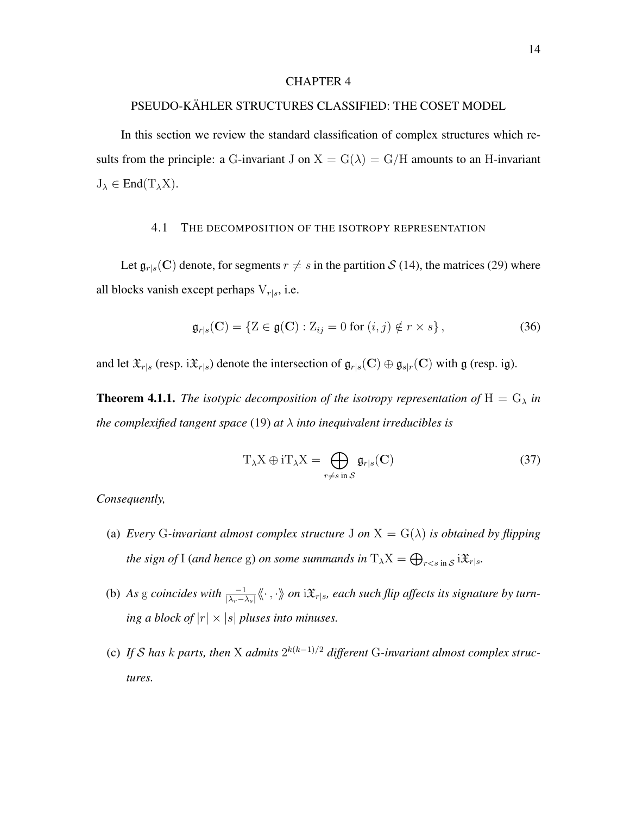## <span id="page-17-0"></span>PSEUDO-KÄHLER STRUCTURES CLASSIFIED: THE COSET MODEL

In this section we review the standard classification of complex structures which results from the principle: a G-invariant J on  $X = G(\lambda) = G/H$  amounts to an H-invariant  $J_{\lambda} \in$  End $(T_{\lambda}X)$ .

#### 4.1 THE DECOMPOSITION OF THE ISOTROPY REPRESENTATION

<span id="page-17-1"></span>Let  $\mathfrak{g}_{r|s}(\mathbf{C})$  denote, for segments  $r \neq s$  in the partition S [\(14\)](#page-10-4), the matrices [\(29\)](#page-14-2) where all blocks vanish except perhaps  $V_{r|s}$ , i.e.

$$
\mathfrak{g}_{r|s}(\mathbf{C}) = \{ Z \in \mathfrak{g}(\mathbf{C}) : Z_{ij} = 0 \text{ for } (i,j) \notin r \times s \},\tag{36}
$$

and let  $\mathfrak{X}_{r|s}$  (resp. i $\mathfrak{X}_{r|s}$ ) denote the intersection of  $\mathfrak{g}_{r|s}(\mathbf{C}) \oplus \mathfrak{g}_{s|r}(\mathbf{C})$  with  $\mathfrak{g}$  (resp. ig).

<span id="page-17-3"></span>**Theorem 4.1.1.** *The isotypic decomposition of the isotropy representation of*  $H = G_{\lambda}$  *in the complexified tangent space* [\(19\)](#page-12-1) *at* λ *into inequivalent irreducibles is*

<span id="page-17-2"></span>
$$
T_{\lambda}X \oplus iT_{\lambda}X = \bigoplus_{r \neq s \text{ in } \mathcal{S}} \mathfrak{g}_{r|s}(\mathbf{C})
$$
 (37)

*Consequently,*

- (a) *Every* G-invariant almost complex structure J on  $X = G(\lambda)$  is obtained by flipping *the sign of* I (and hence g) on some summands in  $T_\lambda X = \bigoplus_{r < s \text{ in } S} i \mathfrak{X}_{r \mid s}$ .
- (b) As g coincides with  $\frac{-1}{|\lambda_r-\lambda_s|}\langle\!\langle\cdot\,,\cdot\rangle\!\rangle$  on  $i\mathfrak{X}_{r|s}$ , each such flip affects its signature by turn*ing a block of*  $|r| \times |s|$  *pluses into minuses.*
- (c) If S has k parts, then X admits  $2^{k(k-1)/2}$  different G-invariant almost complex struc*tures.*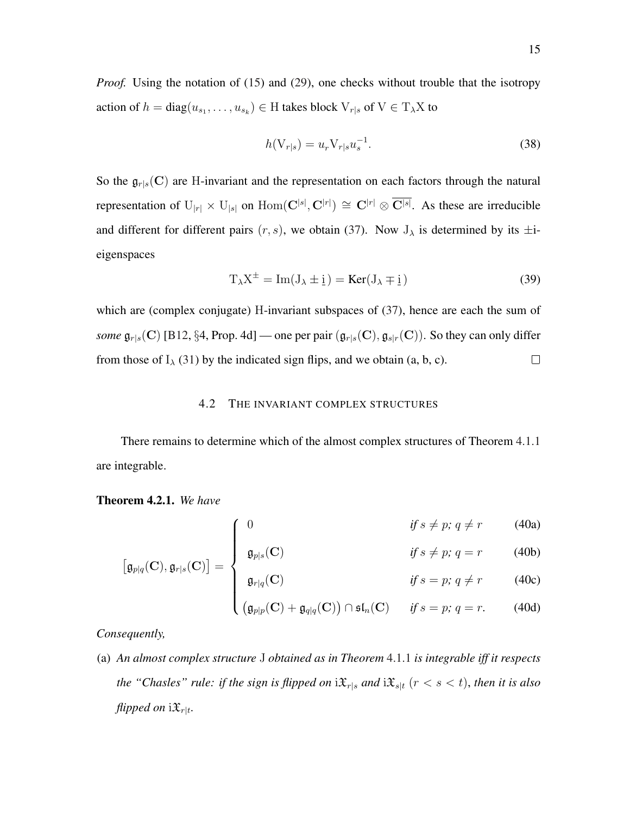<span id="page-18-2"></span>*Proof.* Using the notation of [\(15\)](#page-11-3) and [\(29\)](#page-14-2), one checks without trouble that the isotropy action of  $h = diag(u_{s_1}, \ldots, u_{s_k}) \in H$  takes block  $V_{r|s}$  of  $V \in T_\lambda X$  to

$$
h(\mathbf{V}_{r|s}) = u_r \mathbf{V}_{r|s} u_s^{-1}.
$$
\n(38)

So the  $\mathfrak{g}_{r|s}(\mathbf{C})$  are H-invariant and the representation on each factors through the natural representation of  $U_{|r|} \times U_{|s|}$  on  $Hom(C^{|s|}, C^{|r|}) \cong C^{|r|} \otimes \overline{C^{|s|}}$ . As these are irreducible and different for different pairs  $(r, s)$ , we obtain [\(37\)](#page-17-2). Now  $J_{\lambda}$  is determined by its  $\pm i$ eigenspaces

$$
T_{\lambda}X^{\pm} = \text{Im}(J_{\lambda} \pm \underline{i}) = \text{Ker}(J_{\lambda} \mp \underline{i})
$$
\n(39)

which are (complex conjugate) H-invariant subspaces of [\(37\)](#page-17-2), hence are each the sum of *some*  $\mathfrak{g}_{r|s}(C)$  [\[B12,](#page-28-5) §4, Prop. 4d] — one per pair  $(\mathfrak{g}_{r|s}(C), \mathfrak{g}_{s|r}(C))$ . So they can only differ from those of  $I_{\lambda}$  [\(31\)](#page-15-0) by the indicated sign flips, and we obtain (a, b, c).  $\Box$ 

### 4.2 THE INVARIANT COMPLEX STRUCTURES

<span id="page-18-0"></span>There remains to determine which of the almost complex structures of Theorem [4.1.1](#page-17-3) are integrable.

### <span id="page-18-1"></span>Theorem 4.2.1. *We have*

 0 *if* s 6= p*;* q 6= r (40a)

$$
\left[\mathfrak{g}_{p|q}(\mathbf{C}), \mathfrak{g}_{r|s}(\mathbf{C})\right] = \begin{cases} \mathfrak{g}_{p|s}(\mathbf{C}) & \text{if } s \neq p; q = r \end{cases}
$$
 (40b)

$$
if s = p; q \neq r \qquad (40c)
$$

$$
\left(\left(\mathfrak{g}_{p|p}(\mathbf{C}) + \mathfrak{g}_{q|q}(\mathbf{C})\right) \cap \mathfrak{sl}_n(\mathbf{C}) \quad \text{if } s = p; q = r. \tag{40d}
$$

*Consequently,*

(a) *An almost complex structure* J *obtained as in Theorem* [4.1.1](#page-17-3) *is integrable iff it respects the "Chasles" rule: if the sign is flipped on*  $i\mathfrak{X}_{r|s}$  *and*  $i\mathfrak{X}_{s|t}$  ( $r < s < t$ ), *then it is also flipped on*  $i\mathfrak{X}_{r|t}$ .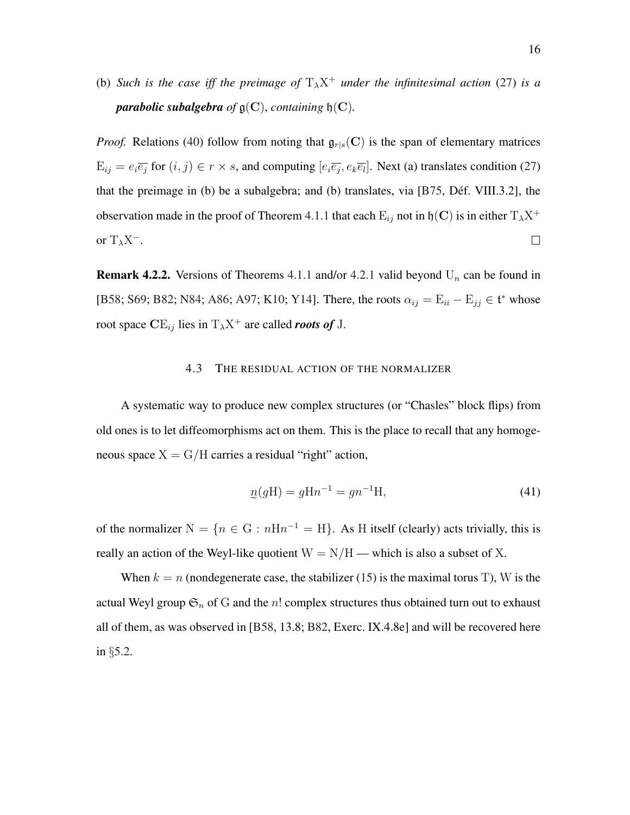<span id="page-19-2"></span>(b) *Such is the case iff the preimage of*  $T_{\lambda}X^{+}$  *under the infinitesimal action* [\(27\)](#page-14-0) *is a parabolic subalgebra of*  $\mathfrak{g}(C)$ *, containing*  $\mathfrak{h}(C)$ *.* 

*Proof.* Relations [\(40\)](#page-18-1) follow from noting that  $\mathfrak{g}_{r|s}(\mathbf{C})$  is the span of elementary matrices  $E_{ij} = e_i \overline{e_j}$  for  $(i, j) \in r \times s$ , and computing  $[e_i \overline{e_j}, e_k \overline{e_l}]$ . Next (a) translates condition [\(27\)](#page-14-0) that the preimage in (b) be a subalgebra; and (b) translates, via [\[B75,](#page-28-6) Déf. VIII.3.2], the observation made in the proof of Theorem [4.1.1](#page-17-3) that each  $E_{ij}$  not in  $\mathfrak{h}(C)$  is in either  $T_\lambda X^+$ or  $T_\lambda X^-$ .  $\Box$ 

**Remark 4.2.2.** Versions of Theorems [4.1.1](#page-17-3) and/or [4.2.1](#page-18-1) valid beyond  $U_n$  can be found in [\[B58;](#page-28-3) [S69;](#page-30-6) [B82;](#page-28-7) [N84;](#page-30-7) [A86;](#page-28-8) [A97;](#page-28-9) [K10;](#page-29-7) [Y14\]](#page-31-1). There, the roots  $\alpha_{ij} = E_{ii} - E_{jj} \in \mathfrak{t}^*$  whose root space  $CE_{ij}$  lies in  $T_{\lambda}X^{+}$  are called *roots of* J.

### 4.3 THE RESIDUAL ACTION OF THE NORMALIZER

<span id="page-19-0"></span>A systematic way to produce new complex structures (or "Chasles" block flips) from old ones is to let diffeomorphisms act on them. This is the place to recall that any homogeneous space  $X = G/H$  carries a residual "right" action,

<span id="page-19-1"></span>
$$
p(gH) = gHn^{-1} = gn^{-1}H,
$$
\n(41)

of the normalizer  $N = \{n \in G : nHn^{-1} = H\}$ . As H itself (clearly) acts trivially, this is really an action of the Weyl-like quotient  $W = N/H$  — which is also a subset of X.

When  $k = n$  (nondegenerate case, the stabilizer [\(15\)](#page-11-3) is the maximal torus T), W is the actual Weyl group  $\mathfrak{S}_n$  of G and the n! complex structures thus obtained turn out to exhaust all of them, as was observed in [\[B58,](#page-28-3) 13.8; [B82,](#page-28-7) Exerc. IX.4.8e] and will be recovered here in §[5.2.](#page-23-0)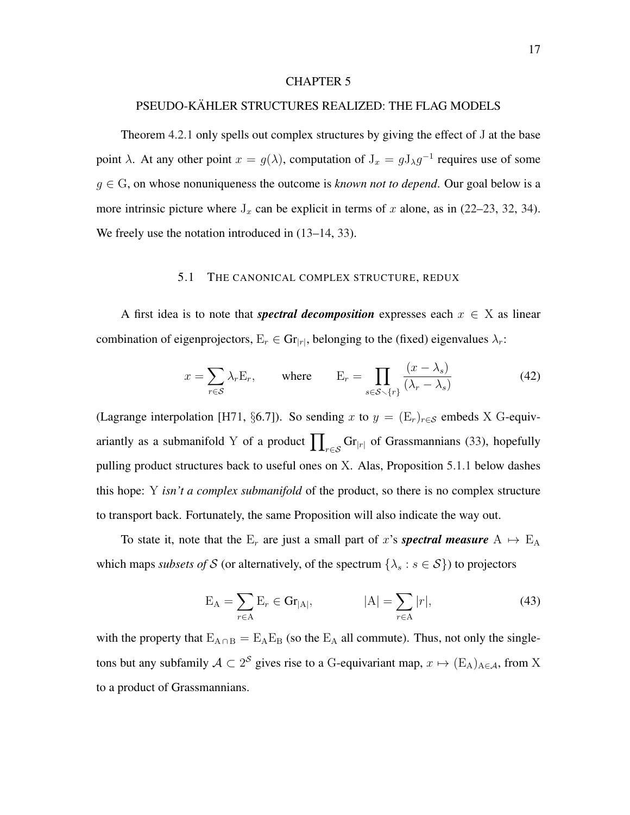#### <span id="page-20-3"></span><span id="page-20-0"></span>PSEUDO-KÄHLER STRUCTURES REALIZED: THE FLAG MODELS

Theorem [4.2.1](#page-18-1) only spells out complex structures by giving the effect of J at the base point  $\lambda$ . At any other point  $x = g(\lambda)$ , computation of  $J_x = gJ_\lambda g^{-1}$  requires use of some  $g \in G$ , on whose nonuniqueness the outcome is *known not to depend*. Our goal below is a more intrinsic picture where  $J_x$  can be explicit in terms of x alone, as in [\(22–](#page-13-3)[23,](#page-13-4) [32,](#page-15-1) [34\)](#page-16-1). We freely use the notation introduced in  $(13-14, 33)$  $(13-14, 33)$  $(13-14, 33)$ .

### 5.1 THE CANONICAL COMPLEX STRUCTURE, REDUX

<span id="page-20-1"></span>A first idea is to note that *spectral decomposition* expresses each  $x \in X$  as linear combination of eigenprojectors,  $E_r \in \text{Gr}_{|r|}$ , belonging to the (fixed) eigenvalues  $\lambda_r$ :

<span id="page-20-2"></span>
$$
x = \sum_{r \in S} \lambda_r E_r, \quad \text{where} \quad E_r = \prod_{s \in S \smallsetminus \{r\}} \frac{(x - \lambda_s)}{(\lambda_r - \lambda_s)} \tag{42}
$$

(Lagrange interpolation [\[H71,](#page-29-3) §6.7]). So sending x to  $y = (E_r)_{r \in S}$  embeds X G-equivariantly as a submanifold Y of a product  $\prod_{r \in \mathcal{S}} \text{Gr}_{|r|}$  of Grassmannians [\(33\)](#page-16-4), hopefully pulling product structures back to useful ones on X. Alas, Proposition [5.1.1](#page-21-0) below dashes this hope: Y *isn't a complex submanifold* of the product, so there is no complex structure to transport back. Fortunately, the same Proposition will also indicate the way out.

To state it, note that the  $E_r$  are just a small part of x's **spectral measure**  $A \mapsto E_A$ which maps *subsets of* S (or alternatively, of the spectrum  $\{\lambda_s : s \in S\}$ ) to projectors

$$
E_A = \sum_{r \in A} E_r \in \mathbf{Gr}_{|A|}, \qquad |A| = \sum_{r \in A} |r|,\tag{43}
$$

with the property that  $E_{A \cap B} = E_A E_B$  (so the  $E_A$  all commute). Thus, not only the singletons but any subfamily  $A \subset 2^S$  gives rise to a G-equivariant map,  $x \mapsto (E_A)_{A \in \mathcal{A}}$ , from X to a product of Grassmannians.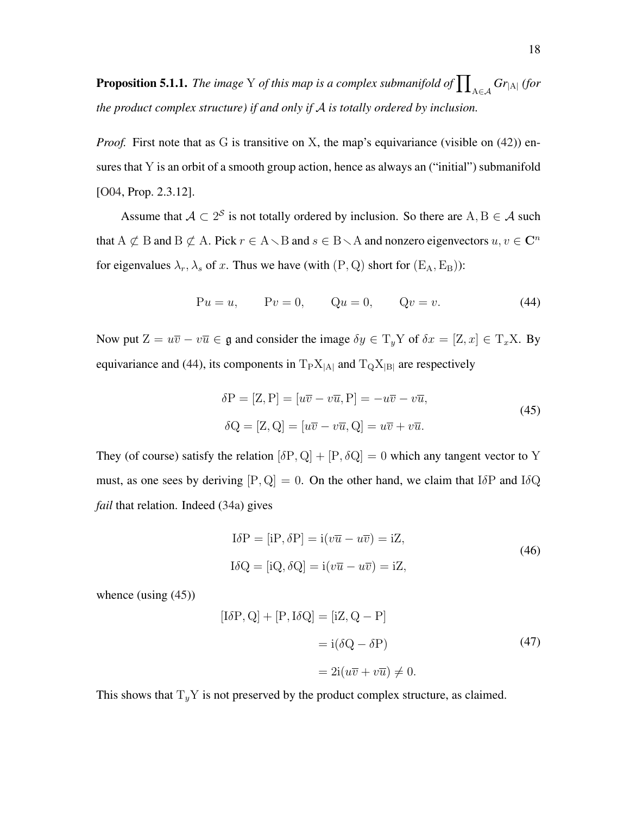<span id="page-21-3"></span><span id="page-21-0"></span>**Proposition 5.1.1.** *The image* Y *of this map is a complex submanifold of*  $\prod_{A \in \mathcal{A}} Gr_{|A|}$  *(for the product complex structure) if and only if* A *is totally ordered by inclusion.*

*Proof.* First note that as G is transitive on X, the map's equivariance (visible on [\(42\)](#page-20-2)) ensures that Y is an orbit of a smooth group action, hence as always an ("initial") submanifold [\[O04,](#page-30-8) Prop. 2.3.12].

Assume that  $A \subset 2^S$  is not totally ordered by inclusion. So there are A, B  $\in A$  such that A  $\not\subset$  B and B  $\not\subset$  A. Pick  $r \in A \setminus B$  and  $s \in B \setminus A$  and nonzero eigenvectors  $u, v \in \mathbb{C}^n$ for eigenvalues  $\lambda_r$ ,  $\lambda_s$  of x. Thus we have (with  $(P, Q)$  short for  $(E_A, E_B)$ ):

<span id="page-21-1"></span>
$$
Pu = u,
$$
  $Pv = 0,$   $Qu = 0,$   $Qv = v.$  (44)

Now put  $Z = u\overline{v} - v\overline{u} \in \mathfrak{g}$  and consider the image  $\delta y \in T_yY$  of  $\delta x = [Z, x] \in T_xX$ . By equivariance and [\(44\)](#page-21-1), its components in  $T_P X_{|A|}$  and  $T_Q X_{|B|}$  are respectively

<span id="page-21-2"></span>
$$
\delta P = [Z, P] = [u\overline{v} - v\overline{u}, P] = -u\overline{v} - v\overline{u},
$$
  
\n
$$
\delta Q = [Z, Q] = [u\overline{v} - v\overline{u}, Q] = u\overline{v} + v\overline{u}.
$$
\n(45)

They (of course) satisfy the relation  $[\delta P, Q] + [P, \delta Q] = 0$  which any tangent vector to Y must, as one sees by deriving  $[P, Q] = 0$ . On the other hand, we claim that I $\delta P$  and I $\delta Q$ *fail* that relation. Indeed [\(34a\)](#page-16-2) gives

$$
I\delta P = [iP, \delta P] = i(v\overline{u} - u\overline{v}) = iZ,
$$
  
\n
$$
I\delta Q = [iQ, \delta Q] = i(v\overline{u} - u\overline{v}) = iZ,
$$
\n(46)

whence (using [\(45\)](#page-21-2))

$$
[\text{I}\delta\text{P},\text{Q}] + [\text{P},\text{I}\delta\text{Q}] = [\text{iZ},\text{Q} - \text{P}]
$$

$$
= \text{i}(\delta\text{Q} - \delta\text{P})
$$

$$
= 2\text{i}(u\overline{v} + v\overline{u}) \neq 0.
$$
(47)

This shows that  $T_yY$  is not preserved by the product complex structure, as claimed.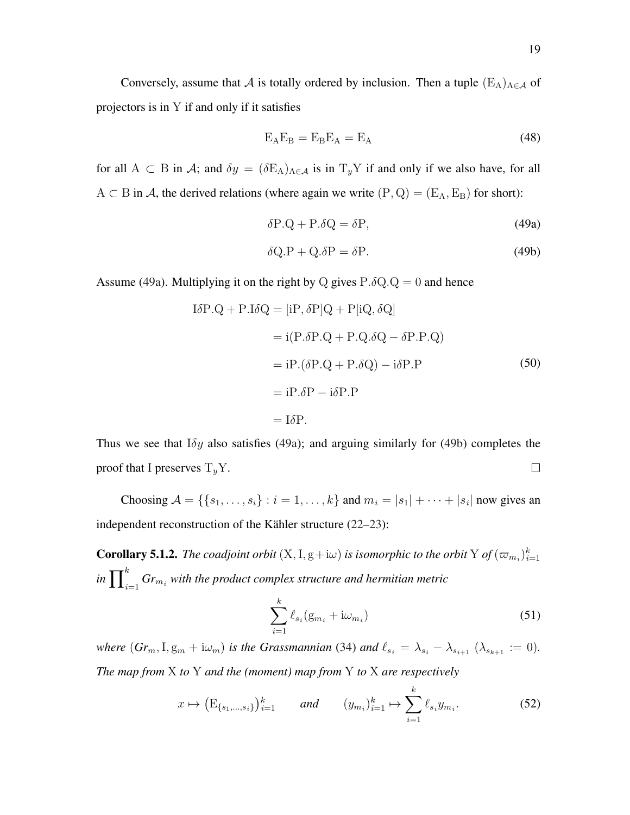Conversely, assume that A is totally ordered by inclusion. Then a tuple  $(E_A)_{A \in \mathcal{A}}$  of projectors is in Y if and only if it satisfies

$$
E_A E_B = E_B E_A = E_A \tag{48}
$$

for all A  $\subset$  B in A; and  $\delta y = (\delta E_A)_{A \in \mathcal{A}}$  is in  $T_y Y$  if and only if we also have, for all  $A \subset B$  in A, the derived relations (where again we write  $(P, Q) = (E_A, E_B)$  for short):

<span id="page-22-2"></span><span id="page-22-1"></span>
$$
\delta P.Q + P.\delta Q = \delta P, \tag{49a}
$$

$$
\delta Q.P + Q.\delta P = \delta P.
$$
\n(49b)

Assume [\(49a\)](#page-22-1). Multiplying it on the right by Q gives  $P.\delta Q.Q = 0$  and hence

$$
I\delta P.Q + P.I\delta Q = [iP, \delta P]Q + P[iQ, \delta Q]
$$
  
= i(P.\delta P.Q + P.Q.\delta Q - \delta P.P.Q)  
= iP.(\delta P.Q + P.\delta Q) - i\delta P.P  
= iP.\delta P - i\delta P.P  
= I\delta P. (50)

Thus we see that  $I \delta y$  also satisfies [\(49a\)](#page-22-1); and arguing similarly for [\(49b\)](#page-22-2) completes the proof that I preserves  $T_y Y$ .  $\Box$ 

Choosing  $A = \{ \{s_1, \ldots, s_i\} : i = 1, \ldots, k \}$  and  $m_i = |s_1| + \cdots + |s_i|$  now gives an independent reconstruction of the Kähler structure  $(22-23)$  $(22-23)$  $(22-23)$ :

<span id="page-22-0"></span>**Corollary 5.1.2.** The coadjoint orbit  $(X, I, g+*i*\omega)$  is isomorphic to the orbit  $Y$  of  $(\varpi_{m_i})_{i=1}^k$ in  $\prod_{i=1}^kGr_{m_i}$  with the product complex structure and hermitian metric

<span id="page-22-4"></span>
$$
\sum_{i=1}^{k} \ell_{s_i} (g_{m_i} + i\omega_{m_i})
$$
\n(51)

*where*  $(Gr_m, I, g_m + i\omega_m)$  *is the Grassmannian* [\(34\)](#page-16-1) *and*  $\ell_{s_i} = \lambda_{s_i} - \lambda_{s_{i+1}} (\lambda_{s_{k+1}} := 0)$ *. The map from* X *to* Y *and the (moment) map from* Y *to* X *are respectively*

<span id="page-22-3"></span>
$$
x \mapsto \left(\mathcal{E}_{\{s_1,\dots,s_i\}}\right)_{i=1}^k \qquad \text{and} \qquad (y_{m_i})_{i=1}^k \mapsto \sum_{i=1}^k \ell_{s_i} y_{m_i}.\tag{52}
$$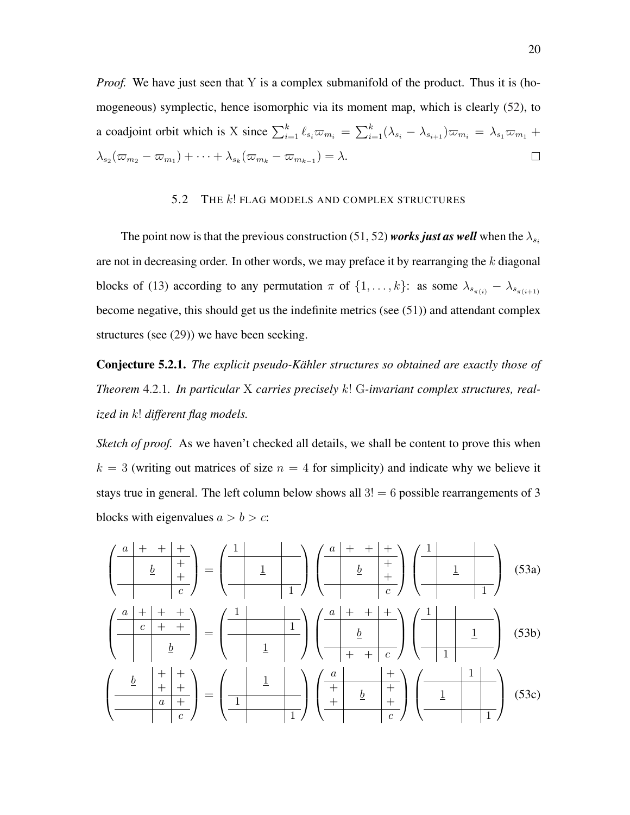*Proof.* We have just seen that Y is a complex submanifold of the product. Thus it is (homogeneous) symplectic, hence isomorphic via its moment map, which is clearly [\(52\)](#page-22-3), to a coadjoint orbit which is X since  $\sum_{i=1}^k \ell_{s_i} \overline{\omega}_{m_i} = \sum_{i=1}^k (\lambda_{s_i} - \lambda_{s_{i+1}}) \overline{\omega}_{m_i} = \lambda_{s_1} \overline{\omega}_{m_1} + \lambda_{s_2} \overline{\omega}_{s_2}$  $\lambda_{s_2}(\varpi_{m_2}-\varpi_{m_1})+\cdots+\lambda_{s_k}(\varpi_{m_k}-\varpi_{m_{k-1}})=\lambda.$  $\Box$ 

### 5.2 THE k! FLAG MODELS AND COMPLEX STRUCTURES

<span id="page-23-0"></span>The point now is that the previous construction [\(51,](#page-22-4) [52\)](#page-22-3) *works just as well* when the  $\lambda_{s_i}$ are not in decreasing order. In other words, we may preface it by rearranging the  $k$  diagonal blocks of [\(13\)](#page-10-2) according to any permutation  $\pi$  of  $\{1, \ldots, k\}$ : as some  $\lambda_{s_{\pi(i)}} - \lambda_{s_{\pi(i+1)}}$ become negative, this should get us the indefinite metrics (see [\(51\)](#page-22-4)) and attendant complex structures (see [\(29\)](#page-14-2)) we have been seeking.

<span id="page-23-4"></span>Conjecture 5.2.1. *The explicit pseudo-Kahler structures so obtained are exactly those of ¨ Theorem* [4.2.1](#page-18-1)*. In particular* X *carries precisely* k! G*-invariant complex structures, realized in* k! *different flag models.*

*Sketch of proof.* As we haven't checked all details, we shall be content to prove this when  $k = 3$  (writing out matrices of size  $n = 4$  for simplicity) and indicate why we believe it stays true in general. The left column below shows all  $3! = 6$  possible rearrangements of 3 blocks with eigenvalues  $a > b > c$ :

<span id="page-23-3"></span><span id="page-23-2"></span><span id="page-23-1"></span>
$$
\left(\begin{array}{c|c}\n a & + & + & + \\
 \hline\n b & + & \\
 c & + & + \\
 \hline\n c & + & + \\
 \hline\n c & + & + \\
 \hline\n d & b & + \\
 \hline\n d & b & + \\
 \hline\n d & b & + \\
 \hline\n d & b & + \\
 \hline\n d & b & + \\
 \hline\n d & b & + \\
 \hline\n d & b & + \\
 \hline\n d & b & + \\
 \hline\n d & b & + \\
 \hline\n d & b & + \\
 \hline\n d & b & + \\
 \hline\n d & b & + \\
 \hline\n d & b & + \\
 \hline\n d & b & + \\
 \hline\n d & b & + \\
 \hline\n d & b & + \\
 \hline\n d & b & + \\
 \hline\n d & b & + \\
 \hline\n d & b & + \\
 \hline\n d & b & + \\
 \hline\n d & b & + \\
 \hline\n d & b & + \\
 \hline\n d & b & + \\
 \hline\n d & b & + \\
 \hline\n d & b & + \\
 \hline\n d & b & + \\
 \hline\n d & b & + \\
 \hline\n d & b & + \\
 \hline\n d & b & + \\
 \hline\n d & b & + \\
 \hline\n d & b & + \\
 \hline\n d & b & + \\
 \hline\n d & b & + \\
 \hline\n d & b & + \\
 \hline\n d & b & + \\
 \hline\n d & b & + \\
 \hline\n d & b & + \\
 \hline\n d & b & + \\
 \hline\n d & b & + \\
 \hline\n d & b & + \\
 \hline\n d & b & + \\
 \hline\n d & b & + \\
 \hline\n d & b & + \\
 \hline\n d & b & + \\
 \hline\n d & b & + \\
 \hline\n d & b & + \\
 \hline\n d & b & + \\
 \hline\n d & b & + \\
 \hline\n d & b &
$$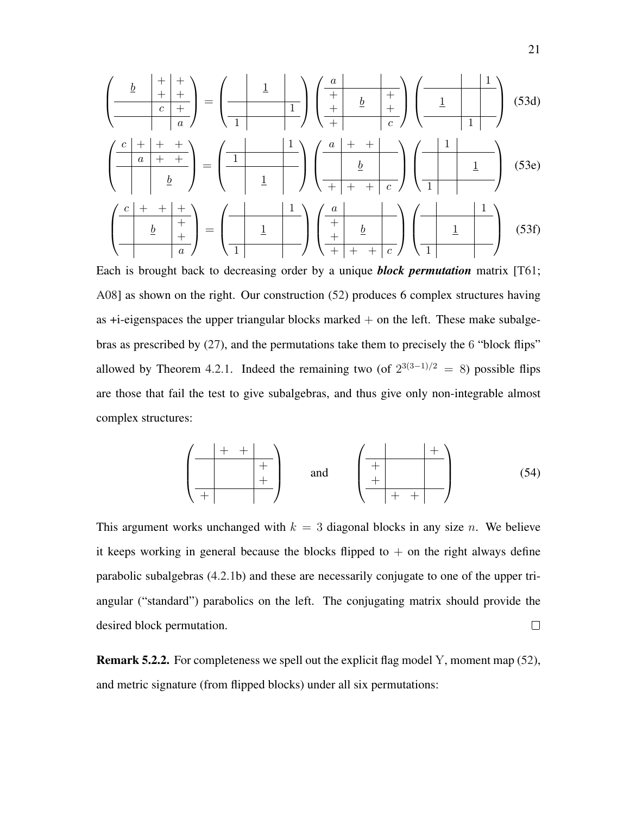<span id="page-24-3"></span><span id="page-24-2"></span><span id="page-24-1"></span>
$$
\left(\frac{\frac{b}{c} + \frac{b}{c} + \frac{b}{c}}{c} + \frac{c}{c}\right) = \left(\frac{1}{1} + \frac{b}{c}\right)\left(\frac{a}{1} + \frac{b}{c}\right)\left(\frac{1}{1} + \frac{b}{c}\right)
$$
(53d)  

$$
\left(\frac{c}{1} + \frac{b}{c}\right) = \left(\frac{1}{1} + \frac{1}{1} + \frac{b}{c}\right)\left(\frac{1}{1} + \frac{b}{c}\right)
$$
(53e)  

$$
\left(\frac{c}{1} + \frac{b}{1} + \frac{c}{c}\right) = \left(\frac{1}{1} + \frac{1}{1} + \frac{b}{c}\right)\left(\frac{1}{1} + \frac{b}{c}\right)
$$
(53f)  

$$
\left(\frac{c}{1} + \frac{b}{1} + \frac{b}{c}\right) = \left(\frac{1}{1} + \frac{b}{1} + \frac{b}{c}\right)\left(\frac{1}{1} + \frac{b}{1} + \frac{b}{c}\right)
$$
(53f)

<span id="page-24-0"></span>Each is brought back to decreasing order by a unique *block permutation* matrix [\[T61;](#page-30-9) [A08\]](#page-28-10) as shown on the right. Our construction [\(52\)](#page-22-3) produces 6 complex structures having as  $+i$ -eigenspaces the upper triangular blocks marked  $+$  on the left. These make subalgebras as prescribed by [\(27\)](#page-14-0), and the permutations take them to precisely the 6 "block flips" allowed by Theorem [4.2.1.](#page-18-1) Indeed the remaining two (of  $2^{3(3-1)/2} = 8$ ) possible flips are those that fail the test to give subalgebras, and thus give only non-integrable almost complex structures:

$$
\left(\begin{array}{c|c}\n+ & + & \\
+ & + & \\
+ & + & \\
\hline\n+ & + & \\
\end{array}\right) \qquad \text{and} \qquad \left(\begin{array}{c|c}\n+ & \\
+ & \\
+ & \\
+ & \\
\hline\n+ & + & \\
\end{array}\right) \tag{54}
$$

This argument works unchanged with  $k = 3$  diagonal blocks in any size n. We believe it keeps working in general because the blocks flipped to  $+$  on the right always define parabolic subalgebras [\(4.2.1b](#page-18-1)) and these are necessarily conjugate to one of the upper triangular ("standard") parabolics on the left. The conjugating matrix should provide the  $\Box$ desired block permutation.

Remark 5.2.2. For completeness we spell out the explicit flag model Y, moment map [\(52\)](#page-22-3), and metric signature (from flipped blocks) under all six permutations: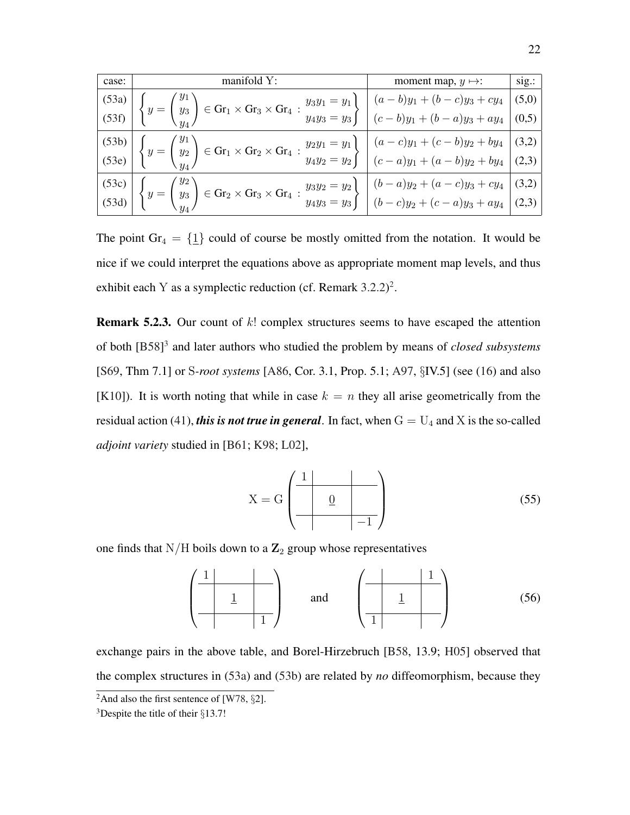<span id="page-25-2"></span>

| case: | manifold $Y$ :                                                                                                                                                                                                                                                                                                                             | moment map, $y \mapsto$ : | sig.: |
|-------|--------------------------------------------------------------------------------------------------------------------------------------------------------------------------------------------------------------------------------------------------------------------------------------------------------------------------------------------|---------------------------|-------|
|       |                                                                                                                                                                                                                                                                                                                                            |                           |       |
|       | $\begin{pmatrix} (53a) \\ (53f) \end{pmatrix} \begin{Bmatrix} y_1 \\ y_3 \end{Bmatrix} \in \text{Gr}_1 \times \text{Gr}_3 \times \text{Gr}_4 : \begin{cases} y_3y_1 = y_1 \\ y_4y_3 = y_3 \end{cases} \begin{bmatrix} (a-b)y_1 + (b-c)y_3 + cy_4 \\ (c-b)y_1 + (b-a)y_3 + ay_4 \end{bmatrix} \begin{pmatrix} (5,0) \\ (0,5) \end{pmatrix}$ |                           |       |
|       |                                                                                                                                                                                                                                                                                                                                            |                           |       |
|       | $\begin{pmatrix} (53b) \\ (53e) \end{pmatrix}$ $\begin{cases} y = \begin{pmatrix} y_1 \\ y_2 \end{pmatrix} \in \text{Gr}_1 \times \text{Gr}_2 \times \text{Gr}_4 : \frac{y_2y_1 = y_1}{y_4y_2 = y_2} \end{cases}$ $\begin{cases} (a-c)y_1 + (c-b)y_2 + by_4 \\ (c-a)y_1 + (a-b)y_2 + by_4 \end{cases}$ (3,2)                               |                           |       |
|       |                                                                                                                                                                                                                                                                                                                                            |                           |       |
|       | $\begin{pmatrix} (53c) \\ (53d) \end{pmatrix} \begin{pmatrix} y_2 \\ y_3 \\ y_4 \end{pmatrix} \in \text{Gr}_2 \times \text{Gr}_3 \times \text{Gr}_4 : \begin{cases} y_3y_2 = y_2 \\ y_4y_3 = y_3 \end{cases} \begin{pmatrix} (b-a)y_2 + (a-c)y_3 + cy_4 \\ (b-c)y_2 + (c-a)y_3 + ay_4 \end{pmatrix}$ (3,2)                                 |                           |       |

The point  $Gr_4 = \{ \underline{1} \}$  could of course be mostly omitted from the notation. It would be nice if we could interpret the equations above as appropriate moment map levels, and thus exhibit each Y as a symplectic reduction (cf. Remark  $3.2.2$  $3.2.2$  $3.2.2$ )<sup>2</sup>.

**Remark 5.2.3.** Our count of  $k!$  complex structures seems to have escaped the attention of both [\[B58\]](#page-28-3) [3](#page-25-1) and later authors who studied the problem by means of *closed subsystems* [\[S69,](#page-30-6) Thm 7.1] or S*-root systems* [\[A86,](#page-28-8) Cor. 3.1, Prop. 5.1; [A97,](#page-28-9) §IV.5] (see [\(16\)](#page-11-4) and also [\[K10\]](#page-29-7)). It is worth noting that while in case  $k = n$  they all arise geometrically from the residual action [\(41\)](#page-19-1), *this is not true in general*. In fact, when  $G = U_4$  and X is the so-called *adjoint variety* studied in [\[B61;](#page-28-11) [K98;](#page-29-8) [L02\]](#page-29-9),

$$
X = G \left( \begin{array}{c|c} 1 & & \\ \hline & 0 & \\ \hline & & -1 \end{array} \right) \tag{55}
$$

one finds that  $N/H$  boils down to a  $\mathbb{Z}_2$  group whose representatives

$$
\left(\begin{array}{c|c}1 & & \\ \hline &1 & \\ \hline & & 1\end{array}\right) \qquad \text{and} \qquad \left(\begin{array}{c|c}1 & & 1 \\ \hline &1 & \\ \hline 1 & & \end{array}\right) \tag{56}
$$

exchange pairs in the above table, and Borel-Hirzebruch [\[B58,](#page-28-3) 13.9; [H05\]](#page-29-10) observed that the complex structures in [\(53a\)](#page-23-1) and [\(53b\)](#page-23-2) are related by *no* diffeomorphism, because they

<span id="page-25-1"></span><span id="page-25-0"></span><sup>&</sup>lt;sup>2</sup>And also the first sentence of [\[W78,](#page-30-10)  $\S$ 2].

<sup>&</sup>lt;sup>3</sup>Despite the title of their  $\S$ 13.7!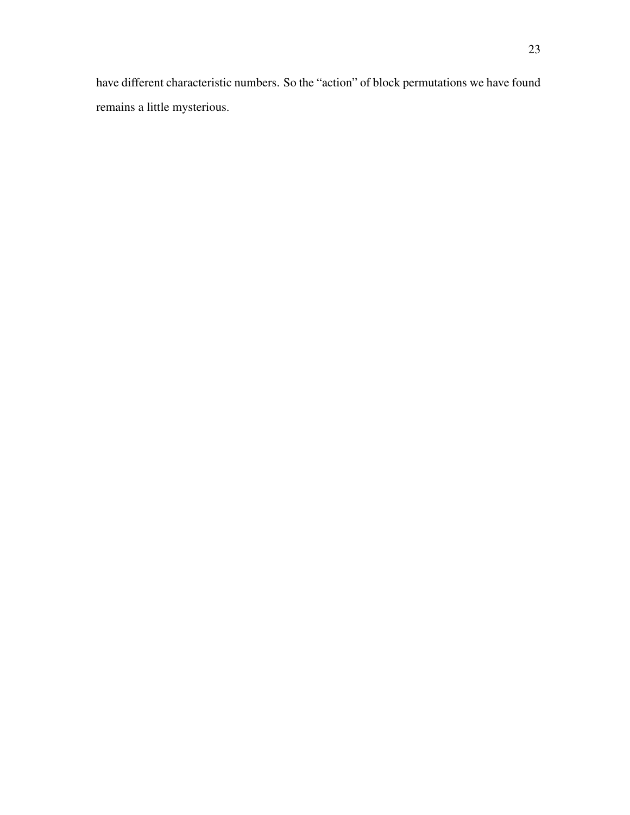have different characteristic numbers. So the "action" of block permutations we have found remains a little mysterious.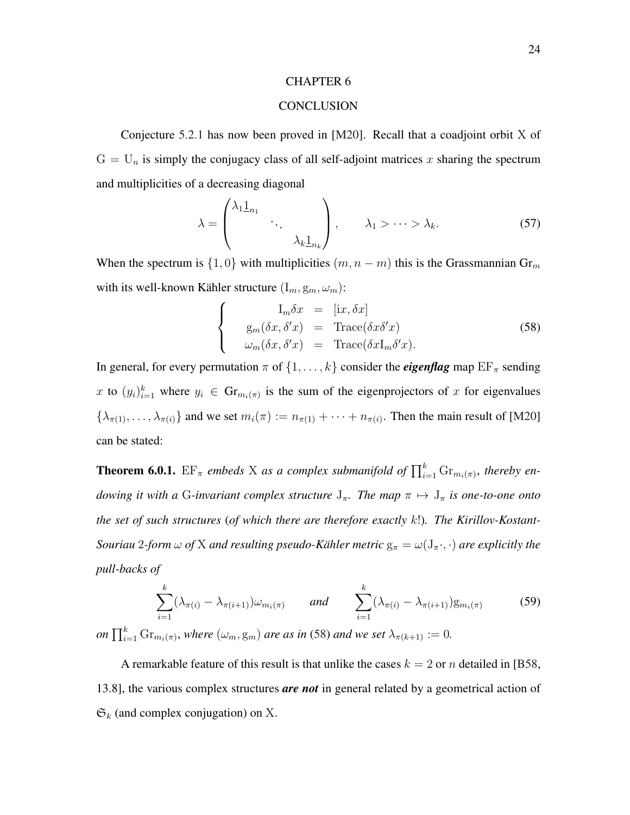#### **CONCLUSION**

<span id="page-27-2"></span><span id="page-27-0"></span>Conjecture [5.2.1](#page-23-4) has now been proved in [\[M20\]](#page-29-11). Recall that a coadjoint orbit X of  $G = U_n$  is simply the conjugacy class of all self-adjoint matrices x sharing the spectrum and multiplicities of a decreasing diagonal

$$
\lambda = \begin{pmatrix} \lambda_1 \underline{1}_{n_1} & & \\ & \ddots & \\ & & \lambda_k \underline{1}_{n_k} \end{pmatrix}, \qquad \lambda_1 > \cdots > \lambda_k. \tag{57}
$$

When the spectrum is  $\{1,0\}$  with multiplicities  $(m, n-m)$  this is the Grassmannian Gr<sub>m</sub> with its well-known Kähler structure  $(I_m, g_m, \omega_m)$ :

<span id="page-27-1"></span>
$$
\begin{cases}\nI_m \delta x = [ix, \delta x] \\
g_m(\delta x, \delta' x) = \text{Trace}(\delta x \delta' x) \\
\omega_m(\delta x, \delta' x) = \text{Trace}(\delta x I_m \delta' x).\n\end{cases}
$$
\n(58)

In general, for every permutation  $\pi$  of  $\{1, \ldots, k\}$  consider the *eigenflag* map  $EF_{\pi}$  sending x to  $(y_i)_{i=1}^k$  where  $y_i \in \mathrm{Gr}_{m_i(\pi)}$  is the sum of the eigenprojectors of x for eigenvalues  $\{\lambda_{\pi(1)},\ldots,\lambda_{\pi(i)}\}$  and we set  $m_i(\pi) := n_{\pi(1)} + \cdots + n_{\pi(i)}$ . Then the main result of [\[M20\]](#page-29-11) can be stated:

**Theorem 6.0.1.**  $EF_{\pi}$  embeds X as a complex submanifold of  $\prod_{i=1}^{k} Gr_{m_i(\pi)}$ , thereby en*dowing it with a* G-invariant complex structure  $J_{\pi}$ . The map  $\pi \mapsto J_{\pi}$  is one-to-one onto *the set of such structures* (*of which there are therefore exactly* k!)*. The Kirillov-Kostant-Souriau* 2*-form*  $\omega$  *of* X *and resulting pseudo-Kähler metric*  $g_{\pi} = \omega(J_{\pi} \cdot, \cdot)$  *are explicitly the pull-backs of*

$$
\sum_{i=1}^{k} (\lambda_{\pi(i)} - \lambda_{\pi(i+1)}) \omega_{m_i(\pi)} \quad \text{and} \quad \sum_{i=1}^{k} (\lambda_{\pi(i)} - \lambda_{\pi(i+1)}) g_{m_i(\pi)} \tag{59}
$$
  
on  $\prod_{i=1}^{k} \text{Gr}_{m_i(\pi)}$ , where  $(\omega_m, g_m)$  are as in (58) and we set  $\lambda_{\pi(k+1)} := 0$ .

A remarkable feature of this result is that unlike the cases  $k = 2$  or n detailed in [\[B58,](#page-28-3) 13.8], the various complex structures *are not* in general related by a geometrical action of  $\mathfrak{S}_k$  (and complex conjugation) on X.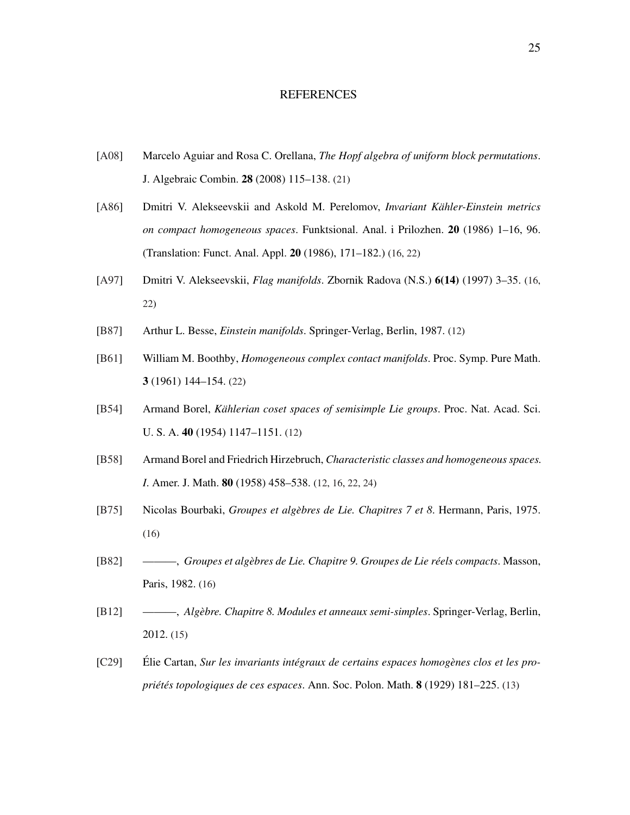#### REFERENCES

- <span id="page-28-10"></span><span id="page-28-0"></span>[\[A08\]](https://doi.org/10.1007/s10801-008-0120-9) Marcelo Aguiar and Rosa C. Orellana, *The Hopf algebra of uniform block permutations*. J. Algebraic Combin. 28 (2008) 115–138. [\(21\)](#page-24-3)
- <span id="page-28-8"></span>[\[A86\]](http://mi.mathnet.ru/eng/faa/v20/i3/p1) Dmitri V. Alekseevskii and Askold M. Perelomov, *Invariant Kahler-Einstein metrics ¨ on compact homogeneous spaces*. Funktsional. Anal. i Prilozhen. 20 (1986) 1–16, 96. (Translation: Funct. Anal. Appl. 20 (1986), 171–182.) [\(16,](#page-19-2) [22\)](#page-25-2)
- <span id="page-28-9"></span>[\[A97\]](http://elib.mi.sanu.ac.rs/pages/browse_issue.php?db=zr&rbr=14) Dmitri V. Alekseevskii, *Flag manifolds*. Zbornik Radova (N.S.) 6(14) (1997) 3–35. [\(16,](#page-19-2) [22\)](#page-25-2)
- <span id="page-28-1"></span>[\[B87\]](https://doi.org/10.1007/978-3-540-74311-8) Arthur L. Besse, *Einstein manifolds*. Springer-Verlag, Berlin, 1987. [\(12\)](#page-15-2)
- <span id="page-28-11"></span>[\[B61\]](https://doi.org/10.1090/pspum/003) William M. Boothby, *Homogeneous complex contact manifolds*. Proc. Symp. Pure Math. 3 (1961) 144–154. [\(22\)](#page-25-2)
- <span id="page-28-2"></span>[\[B54\]](http://www.pnas.org/content/40/12/1147.citation) Armand Borel, *Kählerian coset spaces of semisimple Lie groups*. Proc. Nat. Acad. Sci. U. S. A. 40 (1954) 1147–1151. [\(12\)](#page-15-2)
- <span id="page-28-3"></span>[\[B58\]](https://doi.org/10.2307/2372795) Armand Borel and Friedrich Hirzebruch, *Characteristic classes and homogeneous spaces. I*. Amer. J. Math. 80 (1958) 458–538. [\(12,](#page-15-2) [16,](#page-19-2) [22,](#page-25-2) [24\)](#page-27-2)
- <span id="page-28-6"></span>[\[B75\]](https://doi.org/10.1007/978-3-540-33977-9) Nicolas Bourbaki, *Groupes et algebres de Lie. Chapitres 7 et 8 `* . Hermann, Paris, 1975. [\(16\)](#page-19-2)
- <span id="page-28-7"></span>[\[B82\]](https://doi.org/10.1007/978-3-540-34393-6) ———, *Groupes et algebres de Lie. Chapitre 9. Groupes de Lie r ` eels compacts ´* . Masson, Paris, 1982. [\(16\)](#page-19-2)
- <span id="page-28-5"></span>[\[B12\]](https://doi.org/10.1007/978-3-540-35316-4) ———, *Algebre. Chapitre 8. Modules et anneaux semi-simples `* . Springer-Verlag, Berlin, 2012. [\(15\)](#page-18-2)
- <span id="page-28-4"></span>[\[C29\]](https://rcin.org.pl/dlibra/publication/36807/edition/18718) Elie Cartan, ´ *Sur les invariants integraux de certains espaces homog ´ enes clos et les pro- ` priet´ es topologiques de ces espaces ´* . Ann. Soc. Polon. Math. 8 (1929) 181–225. [\(13\)](#page-16-6)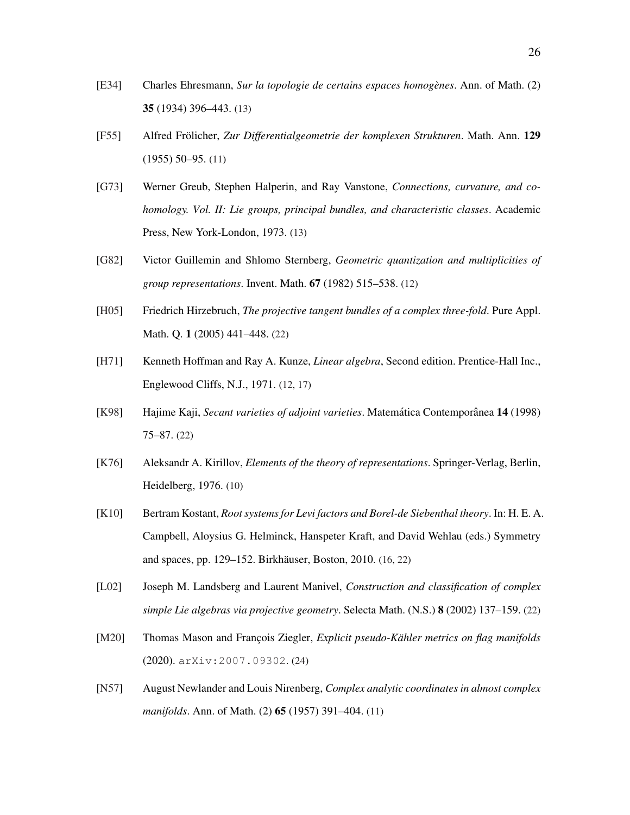- <span id="page-29-6"></span>[\[E34\]](https://doi.org/10.2307/1968440) Charles Ehresmann, *Sur la topologie de certains espaces homogenes `* . Ann. of Math. (2) 35 (1934) 396–443. [\(13\)](#page-16-6)
- <span id="page-29-2"></span>[\[F55\]](http://www.digizeitschriften.de/dms/resolveppn/?PID=GDZPPN002284294) Alfred Frölicher, Zur Differentialgeometrie der komplexen Strukturen. Math. Ann. 129 (1955) 50–95. [\(11\)](#page-14-3)
- <span id="page-29-5"></span>[\[G73\]](https://doi.org/10.1016/S0079-8169(08)62865-2) Werner Greub, Stephen Halperin, and Ray Vanstone, *Connections, curvature, and cohomology. Vol. II: Lie groups, principal bundles, and characteristic classes*. Academic Press, New York-London, 1973. [\(13\)](#page-16-6)
- <span id="page-29-4"></span>[\[G82\]](http://www.digizeitschriften.de/dms/resolveppn/?PID=GDZPPN002098334) Victor Guillemin and Shlomo Sternberg, *Geometric quantization and multiplicities of group representations*. Invent. Math. 67 (1982) 515–538. [\(12\)](#page-15-2)
- <span id="page-29-10"></span>[\[H05\]](https://doi.org/10.4310/PAMQ.2005.v1.n3.a2) Friedrich Hirzebruch, *The projective tangent bundles of a complex three-fold*. Pure Appl. Math. Q. 1 (2005) 441–448. [\(22\)](#page-25-2)
- <span id="page-29-3"></span>[\[H71\]](https://archive.org/details/LinearAlgebraHoffmanAndKunze) Kenneth Hoffman and Ray A. Kunze, *Linear algebra*, Second edition. Prentice-Hall Inc., Englewood Cliffs, N.J., 1971. [\(12,](#page-15-2) [17\)](#page-20-3)
- <span id="page-29-8"></span>[\[K98\]](http://www.mat.unb.br/~matcont/volume14.html) Hajime Kaji, *Secant varieties of adjoint varieties*. Matemática Contemporânea 14 (1998) 75–87. [\(22\)](#page-25-2)
- <span id="page-29-0"></span>[\[K76\]](https://doi.org/10.1007/978-3-642-66243-0) Aleksandr A. Kirillov, *Elements of the theory of representations*. Springer-Verlag, Berlin, Heidelberg, 1976. [\(10\)](#page-13-5)
- <span id="page-29-7"></span>[\[K10\]](https://arxiv.org/abs/0711.2809) Bertram Kostant, *Root systems for Levi factors and Borel-de Siebenthal theory*. In: H. E. A. Campbell, Aloysius G. Helminck, Hanspeter Kraft, and David Wehlau (eds.) Symmetry and spaces, pp. 129–152. Birkhäuser, Boston, 2010. [\(16,](#page-19-2) [22\)](#page-25-2)
- <span id="page-29-9"></span>[\[L02\]](https://doi.org/10.1007/s00029-002-8103-5) Joseph M. Landsberg and Laurent Manivel, *Construction and classification of complex simple Lie algebras via projective geometry*. Selecta Math. (N.S.) 8 (2002) 137–159. [\(22\)](#page-25-2)
- <span id="page-29-11"></span>[\[M20\]](https://arxiv.org/abs/2007.09302) Thomas Mason and François Ziegler, *Explicit pseudo-Kähler metrics on flag manifolds* (2020). [arXiv:2007.09302](http://arxiv.org/abs/2007.09302). [\(24\)](#page-27-2)
- <span id="page-29-1"></span>[\[N57\]](https://doi.org/10.2307/1970051) August Newlander and Louis Nirenberg, *Complex analytic coordinates in almost complex manifolds*. Ann. of Math. (2) 65 (1957) 391–404. [\(11\)](#page-14-3)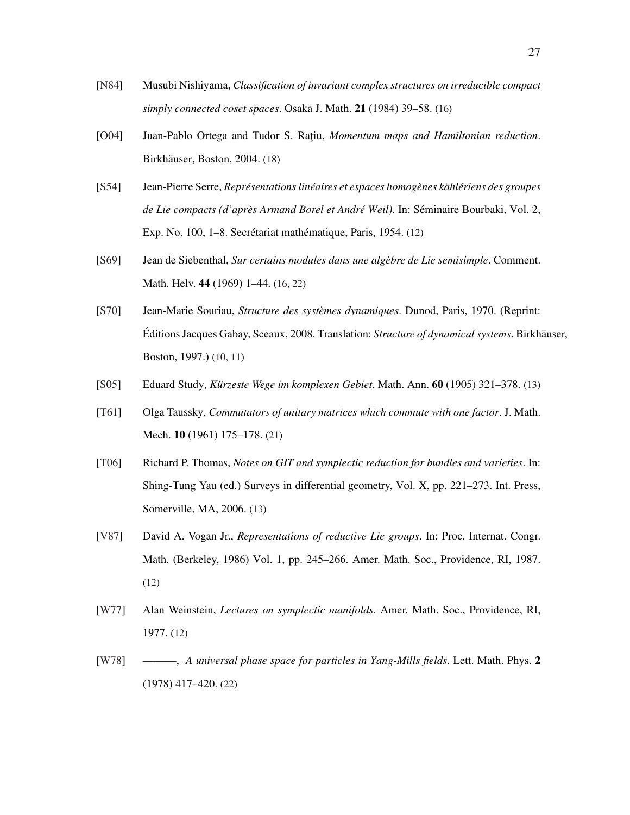- <span id="page-30-7"></span>[\[N84\]](http://projecteuclid.org/euclid.ojm/1200776868) Musubi Nishiyama, *Classification of invariant complex structures on irreducible compact simply connected coset spaces*. Osaka J. Math. 21 (1984) 39–58. [\(16\)](#page-19-2)
- <span id="page-30-8"></span>[\[O04\]](https://doi.org/10.1007/978-1-4757-3811-7) Juan-Pablo Ortega and Tudor S. Ratiu, *Momentum maps and Hamiltonian reduction*. Birkhäuser, Boston, 2004. [\(18\)](#page-21-3)
- <span id="page-30-2"></span>[\[S54\]](http://www.numdam.org/item?id=SB_1951-1954__2__447_0) Jean-Pierre Serre, *Representations lin ´ eaires et espaces homog ´ enes k ` ahl ¨ eriens des groupes ´ de Lie compacts (d'après Armand Borel et André Weil)*. In: Séminaire Bourbaki, Vol. 2, Exp. No. 100, 1–8. Secrétariat mathématique, Paris, 1954. [\(12\)](#page-15-2)
- <span id="page-30-6"></span>[\[S69\]](https://doi.org/10.5169/seals-33753) Jean de Siebenthal, *Sur certains modules dans une algebre de Lie semisimple `* . Comment. Math. Helv. 44 (1969) 1–44. [\(16,](#page-19-2) [22\)](#page-25-2)
- <span id="page-30-0"></span>[\[S70\]](https://doi.org/10.1007/978-1-4612-0281-3) Jean-Marie Souriau, *Structure des systemes dynamiques `* . Dunod, Paris, 1970. (Reprint: Editions Jacques Gabay, Sceaux, 2008. Translation: ´ *Structure of dynamical systems*. Birkhauser, ¨ Boston, 1997.) [\(10,](#page-13-5) [11\)](#page-14-3)
- <span id="page-30-5"></span>[\[S05\]](http://www.digizeitschriften.de/dms/resolveppn/?PID=GDZPPN00226031X) Eduard Study, *Kurzeste Wege im komplexen Gebiet ¨* . Math. Ann. 60 (1905) 321–378. [\(13\)](#page-16-6)
- <span id="page-30-9"></span>[\[T61\]](https://www.jstor.org/stable/24900815) Olga Taussky, *Commutators of unitary matrices which commute with one factor*. J. Math. Mech. 10 (1961) 175–178. [\(21\)](#page-24-3)
- <span id="page-30-4"></span>[\[T06\]](https://arxiv.org/abs/math/0512411) Richard P. Thomas, *Notes on GIT and symplectic reduction for bundles and varieties*. In: Shing-Tung Yau (ed.) Surveys in differential geometry, Vol. X, pp. 221–273. Int. Press, Somerville, MA, 2006. [\(13\)](#page-16-6)
- <span id="page-30-3"></span>[\[V87\]](http://mathunion.org/ICM/ICM1986.1/) David A. Vogan Jr., *Representations of reductive Lie groups*. In: Proc. Internat. Congr. Math. (Berkeley, 1986) Vol. 1, pp. 245–266. Amer. Math. Soc., Providence, RI, 1987. [\(12\)](#page-15-2)
- <span id="page-30-1"></span>[\[W77\]](https://doi.org/10.1090/cbms/029) Alan Weinstein, *Lectures on symplectic manifolds*. Amer. Math. Soc., Providence, RI, 1977. [\(12\)](#page-15-2)
- <span id="page-30-10"></span>[\[W78\]](https://doi.org/10.1007/BF00400169) ———, *A universal phase space for particles in Yang-Mills fields*. Lett. Math. Phys. 2 (1978) 417–420. [\(22\)](#page-25-2)